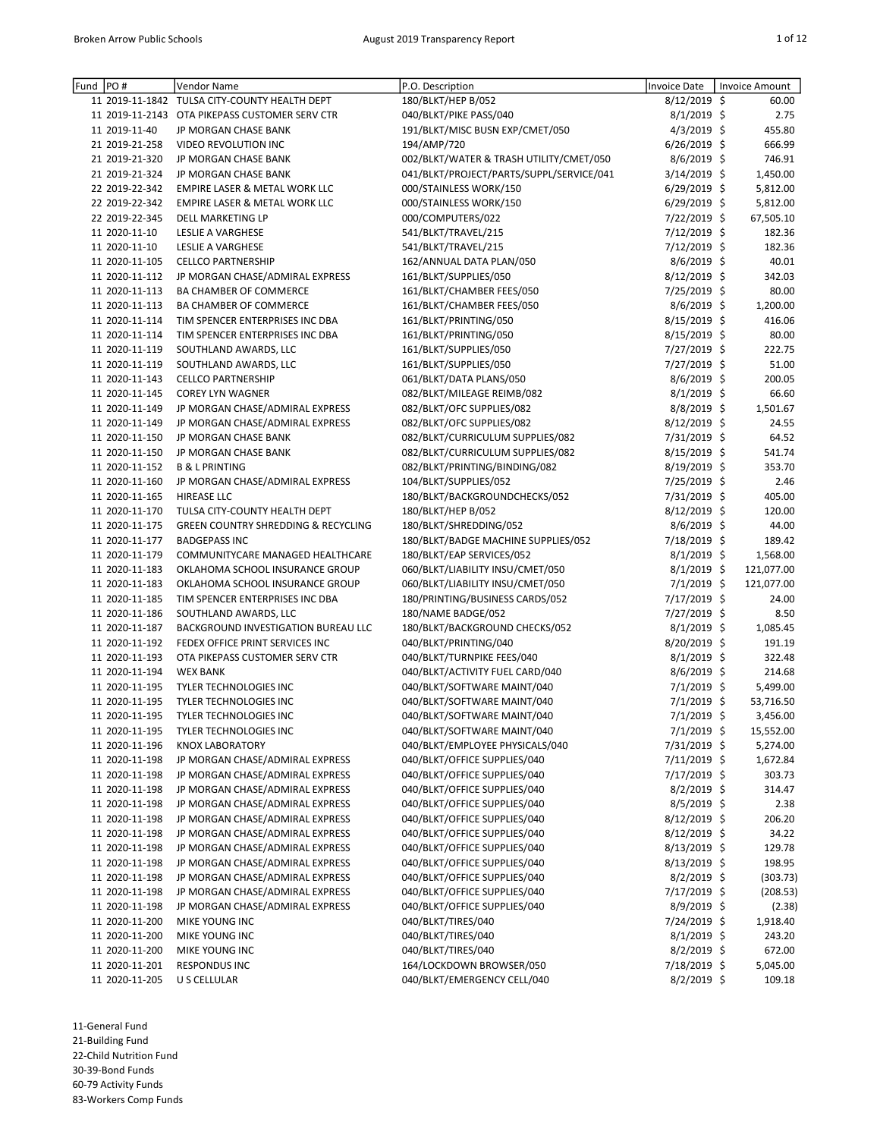| Fund | PO#            | Vendor Name                                    | P.O. Description                         | <b>Invoice Date</b> | <b>Invoice Amount</b> |
|------|----------------|------------------------------------------------|------------------------------------------|---------------------|-----------------------|
|      |                | 11 2019-11-1842 TULSA CITY-COUNTY HEALTH DEPT  | 180/BLKT/HEP B/052                       | 8/12/2019 \$        | 60.00                 |
|      |                | 11 2019-11-2143 OTA PIKEPASS CUSTOMER SERV CTR | 040/BLKT/PIKE PASS/040                   | $8/1/2019$ \$       | 2.75                  |
|      | 11 2019-11-40  | JP MORGAN CHASE BANK                           | 191/BLKT/MISC BUSN EXP/CMET/050          | $4/3/2019$ \$       | 455.80                |
|      | 21 2019-21-258 | VIDEO REVOLUTION INC                           | 194/AMP/720                              | $6/26/2019$ \$      | 666.99                |
|      | 21 2019-21-320 | JP MORGAN CHASE BANK                           | 002/BLKT/WATER & TRASH UTILITY/CMET/050  | 8/6/2019 \$         | 746.91                |
|      | 21 2019-21-324 | JP MORGAN CHASE BANK                           | 041/BLKT/PROJECT/PARTS/SUPPL/SERVICE/041 | $3/14/2019$ \$      | 1,450.00              |
|      | 22 2019-22-342 | <b>EMPIRE LASER &amp; METAL WORK LLC</b>       | 000/STAINLESS WORK/150                   | 6/29/2019 \$        | 5,812.00              |
|      | 22 2019-22-342 | EMPIRE LASER & METAL WORK LLC                  | 000/STAINLESS WORK/150                   | 6/29/2019 \$        | 5,812.00              |
|      | 22 2019-22-345 | DELL MARKETING LP                              | 000/COMPUTERS/022                        | 7/22/2019 \$        | 67,505.10             |
|      | 11 2020-11-10  | LESLIE A VARGHESE                              | 541/BLKT/TRAVEL/215                      | 7/12/2019 \$        | 182.36                |
|      | 11 2020-11-10  | <b>LESLIE A VARGHESE</b>                       | 541/BLKT/TRAVEL/215                      | 7/12/2019 \$        | 182.36                |
|      | 11 2020-11-105 | <b>CELLCO PARTNERSHIP</b>                      | 162/ANNUAL DATA PLAN/050                 | 8/6/2019 \$         | 40.01                 |
|      | 11 2020-11-112 |                                                |                                          |                     | 342.03                |
|      |                | JP MORGAN CHASE/ADMIRAL EXPRESS                | 161/BLKT/SUPPLIES/050                    | 8/12/2019 \$        |                       |
|      | 11 2020-11-113 | <b>BA CHAMBER OF COMMERCE</b>                  | 161/BLKT/CHAMBER FEES/050                | 7/25/2019 \$        | 80.00                 |
|      | 11 2020-11-113 | BA CHAMBER OF COMMERCE                         | 161/BLKT/CHAMBER FEES/050                | $8/6/2019$ \$       | 1,200.00              |
|      | 11 2020-11-114 | TIM SPENCER ENTERPRISES INC DBA                | 161/BLKT/PRINTING/050                    | 8/15/2019 \$        | 416.06                |
|      | 11 2020-11-114 | TIM SPENCER ENTERPRISES INC DBA                | 161/BLKT/PRINTING/050                    | 8/15/2019 \$        | 80.00                 |
|      | 11 2020-11-119 | SOUTHLAND AWARDS, LLC                          | 161/BLKT/SUPPLIES/050                    | 7/27/2019 \$        | 222.75                |
|      | 11 2020-11-119 | SOUTHLAND AWARDS, LLC                          | 161/BLKT/SUPPLIES/050                    | 7/27/2019 \$        | 51.00                 |
|      | 11 2020-11-143 | <b>CELLCO PARTNERSHIP</b>                      | 061/BLKT/DATA PLANS/050                  | $8/6/2019$ \$       | 200.05                |
|      | 11 2020-11-145 | <b>COREY LYN WAGNER</b>                        | 082/BLKT/MILEAGE REIMB/082               | $8/1/2019$ \$       | 66.60                 |
|      | 11 2020-11-149 | JP MORGAN CHASE/ADMIRAL EXPRESS                | 082/BLKT/OFC SUPPLIES/082                | 8/8/2019 \$         | 1,501.67              |
|      | 11 2020-11-149 | JP MORGAN CHASE/ADMIRAL EXPRESS                | 082/BLKT/OFC SUPPLIES/082                | 8/12/2019 \$        | 24.55                 |
|      | 11 2020-11-150 | JP MORGAN CHASE BANK                           | 082/BLKT/CURRICULUM SUPPLIES/082         | 7/31/2019 \$        | 64.52                 |
|      | 11 2020-11-150 | JP MORGAN CHASE BANK                           | 082/BLKT/CURRICULUM SUPPLIES/082         | $8/15/2019$ \$      | 541.74                |
|      | 11 2020-11-152 | <b>B &amp; L PRINTING</b>                      | 082/BLKT/PRINTING/BINDING/082            | 8/19/2019 \$        | 353.70                |
|      | 11 2020-11-160 | JP MORGAN CHASE/ADMIRAL EXPRESS                | 104/BLKT/SUPPLIES/052                    | 7/25/2019 \$        | 2.46                  |
|      | 11 2020-11-165 | <b>HIREASE LLC</b>                             | 180/BLKT/BACKGROUNDCHECKS/052            | $7/31/2019$ \$      | 405.00                |
|      | 11 2020-11-170 | TULSA CITY-COUNTY HEALTH DEPT                  | 180/BLKT/HEP B/052                       | $8/12/2019$ \$      | 120.00                |
|      | 11 2020-11-175 | <b>GREEN COUNTRY SHREDDING &amp; RECYCLING</b> | 180/BLKT/SHREDDING/052                   | $8/6/2019$ \$       | 44.00                 |
|      |                |                                                |                                          |                     |                       |
|      | 11 2020-11-177 | <b>BADGEPASS INC</b>                           | 180/BLKT/BADGE MACHINE SUPPLIES/052      | 7/18/2019 \$        | 189.42                |
|      | 11 2020-11-179 | COMMUNITYCARE MANAGED HEALTHCARE               | 180/BLKT/EAP SERVICES/052                | $8/1/2019$ \$       | 1,568.00              |
|      | 11 2020-11-183 | OKLAHOMA SCHOOL INSURANCE GROUP                | 060/BLKT/LIABILITY INSU/CMET/050         | $8/1/2019$ \$       | 121,077.00            |
|      | 11 2020-11-183 | OKLAHOMA SCHOOL INSURANCE GROUP                | 060/BLKT/LIABILITY INSU/CMET/050         | $7/1/2019$ \$       | 121,077.00            |
|      | 11 2020-11-185 | TIM SPENCER ENTERPRISES INC DBA                | 180/PRINTING/BUSINESS CARDS/052          | 7/17/2019 \$        | 24.00                 |
|      | 11 2020-11-186 | SOUTHLAND AWARDS, LLC                          | 180/NAME BADGE/052                       | 7/27/2019 \$        | 8.50                  |
|      | 11 2020-11-187 | BACKGROUND INVESTIGATION BUREAU LLC            | 180/BLKT/BACKGROUND CHECKS/052           | $8/1/2019$ \$       | 1,085.45              |
|      | 11 2020-11-192 | FEDEX OFFICE PRINT SERVICES INC                | 040/BLKT/PRINTING/040                    | 8/20/2019 \$        | 191.19                |
|      | 11 2020-11-193 | OTA PIKEPASS CUSTOMER SERV CTR                 | 040/BLKT/TURNPIKE FEES/040               | $8/1/2019$ \$       | 322.48                |
|      | 11 2020-11-194 | <b>WEX BANK</b>                                | 040/BLKT/ACTIVITY FUEL CARD/040          | $8/6/2019$ \$       | 214.68                |
|      | 11 2020-11-195 | TYLER TECHNOLOGIES INC                         | 040/BLKT/SOFTWARE MAINT/040              | $7/1/2019$ \$       | 5,499.00              |
|      | 11 2020-11-195 | TYLER TECHNOLOGIES INC                         | 040/BLKT/SOFTWARE MAINT/040              | $7/1/2019$ \$       | 53,716.50             |
|      | 11 2020-11-195 | TYLER TECHNOLOGIES INC                         | 040/BLKT/SOFTWARE MAINT/040              | 7/1/2019 \$         | 3,456.00              |
|      | 11 2020-11-195 | TYLER TECHNOLOGIES INC                         | 040/BLKT/SOFTWARE MAINT/040              | $7/1/2019$ \$       | 15,552.00             |
|      | 11 2020-11-196 | <b>KNOX LABORATORY</b>                         | 040/BLKT/EMPLOYEE PHYSICALS/040          | 7/31/2019 \$        | 5,274.00              |
|      | 11 2020-11-198 | JP MORGAN CHASE/ADMIRAL EXPRESS                | 040/BLKT/OFFICE SUPPLIES/040             | $7/11/2019$ \$      | 1,672.84              |
|      | 11 2020-11-198 | JP MORGAN CHASE/ADMIRAL EXPRESS                | 040/BLKT/OFFICE SUPPLIES/040             | 7/17/2019 \$        | 303.73                |
|      | 11 2020-11-198 | JP MORGAN CHASE/ADMIRAL EXPRESS                | 040/BLKT/OFFICE SUPPLIES/040             | $8/2/2019$ \$       | 314.47                |
|      | 11 2020-11-198 | JP MORGAN CHASE/ADMIRAL EXPRESS                | 040/BLKT/OFFICE SUPPLIES/040             | $8/5/2019$ \$       | 2.38                  |
|      | 11 2020-11-198 | JP MORGAN CHASE/ADMIRAL EXPRESS                | 040/BLKT/OFFICE SUPPLIES/040             | $8/12/2019$ \$      | 206.20                |
|      |                |                                                |                                          |                     |                       |
|      | 11 2020-11-198 | JP MORGAN CHASE/ADMIRAL EXPRESS                | 040/BLKT/OFFICE SUPPLIES/040             | $8/12/2019$ \$      | 34.22                 |
|      | 11 2020-11-198 | JP MORGAN CHASE/ADMIRAL EXPRESS                | 040/BLKT/OFFICE SUPPLIES/040             | $8/13/2019$ \$      | 129.78                |
|      | 11 2020-11-198 | JP MORGAN CHASE/ADMIRAL EXPRESS                | 040/BLKT/OFFICE SUPPLIES/040             | $8/13/2019$ \$      | 198.95                |
|      | 11 2020-11-198 | JP MORGAN CHASE/ADMIRAL EXPRESS                | 040/BLKT/OFFICE SUPPLIES/040             | $8/2/2019$ \$       | (303.73)              |
|      | 11 2020-11-198 | JP MORGAN CHASE/ADMIRAL EXPRESS                | 040/BLKT/OFFICE SUPPLIES/040             | 7/17/2019 \$        | (208.53)              |
|      | 11 2020-11-198 | JP MORGAN CHASE/ADMIRAL EXPRESS                | 040/BLKT/OFFICE SUPPLIES/040             | $8/9/2019$ \$       | (2.38)                |
|      | 11 2020-11-200 | MIKE YOUNG INC                                 | 040/BLKT/TIRES/040                       | 7/24/2019 \$        | 1,918.40              |
|      | 11 2020-11-200 | MIKE YOUNG INC                                 | 040/BLKT/TIRES/040                       | $8/1/2019$ \$       | 243.20                |
|      | 11 2020-11-200 | MIKE YOUNG INC                                 | 040/BLKT/TIRES/040                       | $8/2/2019$ \$       | 672.00                |
|      | 11 2020-11-201 | <b>RESPONDUS INC</b>                           | 164/LOCKDOWN BROWSER/050                 | 7/18/2019 \$        | 5,045.00              |
|      | 11 2020-11-205 | U S CELLULAR                                   | 040/BLKT/EMERGENCY CELL/040              | 8/2/2019 \$         | 109.18                |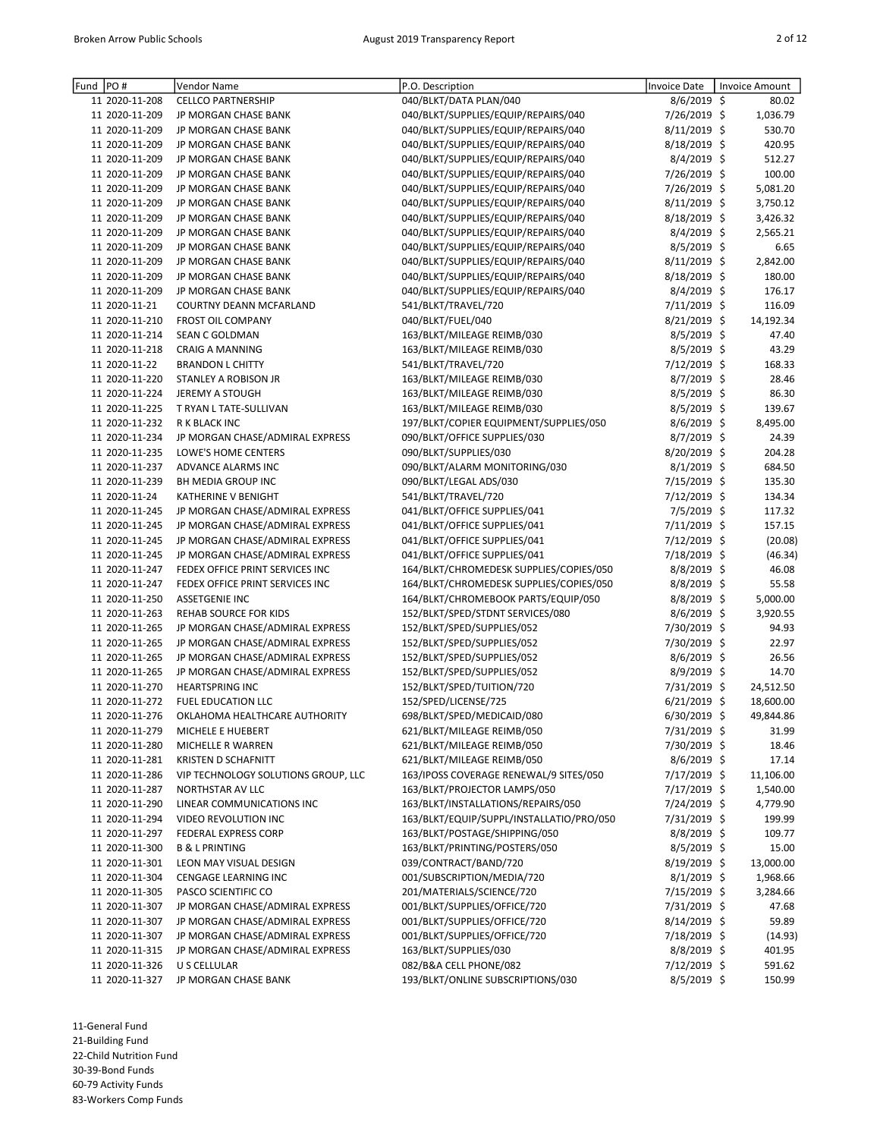| Fund | PO#            | Vendor Name                         | P.O. Description                         | <b>Invoice Date</b> | Invoice Amount |  |
|------|----------------|-------------------------------------|------------------------------------------|---------------------|----------------|--|
|      | 11 2020-11-208 | <b>CELLCO PARTNERSHIP</b>           | 040/BLKT/DATA PLAN/040                   | $8/6/2019$ \$       | 80.02          |  |
|      | 11 2020-11-209 | JP MORGAN CHASE BANK                | 040/BLKT/SUPPLIES/EQUIP/REPAIRS/040      | 7/26/2019 \$        | 1,036.79       |  |
|      | 11 2020-11-209 | JP MORGAN CHASE BANK                | 040/BLKT/SUPPLIES/EQUIP/REPAIRS/040      | 8/11/2019 \$        | 530.70         |  |
|      | 11 2020-11-209 | JP MORGAN CHASE BANK                | 040/BLKT/SUPPLIES/EQUIP/REPAIRS/040      | 8/18/2019 \$        | 420.95         |  |
|      | 11 2020-11-209 | JP MORGAN CHASE BANK                | 040/BLKT/SUPPLIES/EQUIP/REPAIRS/040      | 8/4/2019 \$         | 512.27         |  |
|      | 11 2020-11-209 | JP MORGAN CHASE BANK                | 040/BLKT/SUPPLIES/EQUIP/REPAIRS/040      | 7/26/2019 \$        | 100.00         |  |
|      | 11 2020-11-209 | JP MORGAN CHASE BANK                | 040/BLKT/SUPPLIES/EQUIP/REPAIRS/040      | 7/26/2019 \$        | 5,081.20       |  |
|      | 11 2020-11-209 | JP MORGAN CHASE BANK                | 040/BLKT/SUPPLIES/EQUIP/REPAIRS/040      | 8/11/2019 \$        | 3,750.12       |  |
|      | 11 2020-11-209 | JP MORGAN CHASE BANK                | 040/BLKT/SUPPLIES/EQUIP/REPAIRS/040      | 8/18/2019 \$        | 3,426.32       |  |
|      | 11 2020-11-209 | JP MORGAN CHASE BANK                | 040/BLKT/SUPPLIES/EQUIP/REPAIRS/040      | 8/4/2019 \$         | 2,565.21       |  |
|      | 11 2020-11-209 | JP MORGAN CHASE BANK                | 040/BLKT/SUPPLIES/EQUIP/REPAIRS/040      | 8/5/2019 \$         | 6.65           |  |
|      | 11 2020-11-209 | JP MORGAN CHASE BANK                | 040/BLKT/SUPPLIES/EQUIP/REPAIRS/040      | 8/11/2019 \$        | 2,842.00       |  |
|      | 11 2020-11-209 | JP MORGAN CHASE BANK                | 040/BLKT/SUPPLIES/EQUIP/REPAIRS/040      | 8/18/2019 \$        | 180.00         |  |
|      | 11 2020-11-209 | JP MORGAN CHASE BANK                | 040/BLKT/SUPPLIES/EQUIP/REPAIRS/040      | $8/4/2019$ \$       | 176.17         |  |
|      | 11 2020-11-21  | COURTNY DEANN MCFARLAND             | 541/BLKT/TRAVEL/720                      | 7/11/2019 \$        | 116.09         |  |
|      | 11 2020-11-210 | <b>FROST OIL COMPANY</b>            | 040/BLKT/FUEL/040                        | 8/21/2019 \$        | 14,192.34      |  |
|      | 11 2020-11-214 | SEAN C GOLDMAN                      | 163/BLKT/MILEAGE REIMB/030               | 8/5/2019 \$         | 47.40          |  |
|      | 11 2020-11-218 | <b>CRAIG A MANNING</b>              | 163/BLKT/MILEAGE REIMB/030               | 8/5/2019 \$         | 43.29          |  |
|      | 11 2020-11-22  | <b>BRANDON L CHITTY</b>             | 541/BLKT/TRAVEL/720                      | 7/12/2019 \$        | 168.33         |  |
|      | 11 2020-11-220 | STANLEY A ROBISON JR                | 163/BLKT/MILEAGE REIMB/030               | 8/7/2019 \$         | 28.46          |  |
|      | 11 2020-11-224 | <b>JEREMY A STOUGH</b>              | 163/BLKT/MILEAGE REIMB/030               | 8/5/2019 \$         | 86.30          |  |
|      | 11 2020-11-225 | T RYAN L TATE-SULLIVAN              | 163/BLKT/MILEAGE REIMB/030               | 8/5/2019 \$         | 139.67         |  |
|      | 11 2020-11-232 | <b>R K BLACK INC</b>                | 197/BLKT/COPIER EQUIPMENT/SUPPLIES/050   | 8/6/2019 \$         | 8,495.00       |  |
|      | 11 2020-11-234 | JP MORGAN CHASE/ADMIRAL EXPRESS     | 090/BLKT/OFFICE SUPPLIES/030             | 8/7/2019 \$         | 24.39          |  |
|      | 11 2020-11-235 | LOWE'S HOME CENTERS                 | 090/BLKT/SUPPLIES/030                    | 8/20/2019 \$        | 204.28         |  |
|      | 11 2020-11-237 | ADVANCE ALARMS INC                  | 090/BLKT/ALARM MONITORING/030            | $8/1/2019$ \$       | 684.50         |  |
|      | 11 2020-11-239 | BH MEDIA GROUP INC                  | 090/BLKT/LEGAL ADS/030                   | 7/15/2019 \$        | 135.30         |  |
|      | 11 2020-11-24  | KATHERINE V BENIGHT                 | 541/BLKT/TRAVEL/720                      | 7/12/2019 \$        | 134.34         |  |
|      | 11 2020-11-245 | JP MORGAN CHASE/ADMIRAL EXPRESS     | 041/BLKT/OFFICE SUPPLIES/041             | 7/5/2019 \$         | 117.32         |  |
|      | 11 2020-11-245 | JP MORGAN CHASE/ADMIRAL EXPRESS     | 041/BLKT/OFFICE SUPPLIES/041             | 7/11/2019 \$        | 157.15         |  |
|      | 11 2020-11-245 | JP MORGAN CHASE/ADMIRAL EXPRESS     | 041/BLKT/OFFICE SUPPLIES/041             | 7/12/2019 \$        | (20.08)        |  |
|      | 11 2020-11-245 | JP MORGAN CHASE/ADMIRAL EXPRESS     | 041/BLKT/OFFICE SUPPLIES/041             | 7/18/2019 \$        | (46.34)        |  |
|      | 11 2020-11-247 | FEDEX OFFICE PRINT SERVICES INC     | 164/BLKT/CHROMEDESK SUPPLIES/COPIES/050  | 8/8/2019 \$         | 46.08          |  |
|      | 11 2020-11-247 | FEDEX OFFICE PRINT SERVICES INC     | 164/BLKT/CHROMEDESK SUPPLIES/COPIES/050  | $8/8/2019$ \$       | 55.58          |  |
|      | 11 2020-11-250 | <b>ASSETGENIE INC</b>               | 164/BLKT/CHROMEBOOK PARTS/EQUIP/050      | $8/8/2019$ \$       | 5,000.00       |  |
|      | 11 2020-11-263 | REHAB SOURCE FOR KIDS               | 152/BLKT/SPED/STDNT SERVICES/080         | $8/6/2019$ \$       | 3,920.55       |  |
|      | 11 2020-11-265 | JP MORGAN CHASE/ADMIRAL EXPRESS     | 152/BLKT/SPED/SUPPLIES/052               | 7/30/2019 \$        | 94.93          |  |
|      | 11 2020-11-265 | JP MORGAN CHASE/ADMIRAL EXPRESS     | 152/BLKT/SPED/SUPPLIES/052               | 7/30/2019 \$        | 22.97          |  |
|      | 11 2020-11-265 | JP MORGAN CHASE/ADMIRAL EXPRESS     | 152/BLKT/SPED/SUPPLIES/052               | $8/6/2019$ \$       | 26.56          |  |
|      | 11 2020-11-265 | JP MORGAN CHASE/ADMIRAL EXPRESS     | 152/BLKT/SPED/SUPPLIES/052               | $8/9/2019$ \$       | 14.70          |  |
|      | 11 2020-11-270 | <b>HEARTSPRING INC</b>              | 152/BLKT/SPED/TUITION/720                | 7/31/2019 \$        | 24,512.50      |  |
|      | 11 2020-11-272 | <b>FUEL EDUCATION LLC</b>           | 152/SPED/LICENSE/725                     | $6/21/2019$ \$      | 18,600.00      |  |
|      | 11 2020-11-276 | OKLAHOMA HEALTHCARE AUTHORITY       | 698/BLKT/SPED/MEDICAID/080               | 6/30/2019 \$        | 49,844.86      |  |
|      | 11 2020-11-279 | MICHELE E HUEBERT                   | 621/BLKT/MILEAGE REIMB/050               | 7/31/2019 \$        | 31.99          |  |
|      | 11 2020-11-280 | MICHELLE R WARREN                   | 621/BLKT/MILEAGE REIMB/050               | 7/30/2019 \$        | 18.46          |  |
|      | 11 2020-11-281 | <b>KRISTEN D SCHAFNITT</b>          | 621/BLKT/MILEAGE REIMB/050               | $8/6/2019$ \$       | 17.14          |  |
|      | 11 2020-11-286 | VIP TECHNOLOGY SOLUTIONS GROUP, LLC | 163/IPOSS COVERAGE RENEWAL/9 SITES/050   | 7/17/2019 \$        | 11,106.00      |  |
|      | 11 2020-11-287 | NORTHSTAR AV LLC                    | 163/BLKT/PROJECTOR LAMPS/050             | 7/17/2019 \$        | 1,540.00       |  |
|      | 11 2020-11-290 | LINEAR COMMUNICATIONS INC           | 163/BLKT/INSTALLATIONS/REPAIRS/050       | 7/24/2019 \$        | 4,779.90       |  |
|      | 11 2020-11-294 | VIDEO REVOLUTION INC                | 163/BLKT/EQUIP/SUPPL/INSTALLATIO/PRO/050 | 7/31/2019 \$        | 199.99         |  |
|      | 11 2020-11-297 | <b>FEDERAL EXPRESS CORP</b>         | 163/BLKT/POSTAGE/SHIPPING/050            | $8/8/2019$ \$       | 109.77         |  |
|      | 11 2020-11-300 | B & L PRINTING                      | 163/BLKT/PRINTING/POSTERS/050            | 8/5/2019 \$         | 15.00          |  |
|      | 11 2020-11-301 | LEON MAY VISUAL DESIGN              | 039/CONTRACT/BAND/720                    | $8/19/2019$ \$      | 13,000.00      |  |
|      | 11 2020-11-304 | CENGAGE LEARNING INC                | 001/SUBSCRIPTION/MEDIA/720               | $8/1/2019$ \$       | 1,968.66       |  |
|      | 11 2020-11-305 | PASCO SCIENTIFIC CO                 | 201/MATERIALS/SCIENCE/720                | 7/15/2019 \$        | 3,284.66       |  |
|      | 11 2020-11-307 | JP MORGAN CHASE/ADMIRAL EXPRESS     | 001/BLKT/SUPPLIES/OFFICE/720             | 7/31/2019 \$        | 47.68          |  |
|      | 11 2020-11-307 | JP MORGAN CHASE/ADMIRAL EXPRESS     | 001/BLKT/SUPPLIES/OFFICE/720             | 8/14/2019 \$        | 59.89          |  |
|      | 11 2020-11-307 | JP MORGAN CHASE/ADMIRAL EXPRESS     | 001/BLKT/SUPPLIES/OFFICE/720             | 7/18/2019 \$        | (14.93)        |  |
|      | 11 2020-11-315 | JP MORGAN CHASE/ADMIRAL EXPRESS     | 163/BLKT/SUPPLIES/030                    | $8/8/2019$ \$       | 401.95         |  |
|      | 11 2020-11-326 | U S CELLULAR                        | 082/B&A CELL PHONE/082                   | 7/12/2019 \$        | 591.62         |  |
|      | 11 2020-11-327 | JP MORGAN CHASE BANK                | 193/BLKT/ONLINE SUBSCRIPTIONS/030        | $8/5/2019$ \$       | 150.99         |  |

11-General Fund 21-Building Fund 22-Child Nutrition Fund 30-39-Bond Funds 60-79 Activity Funds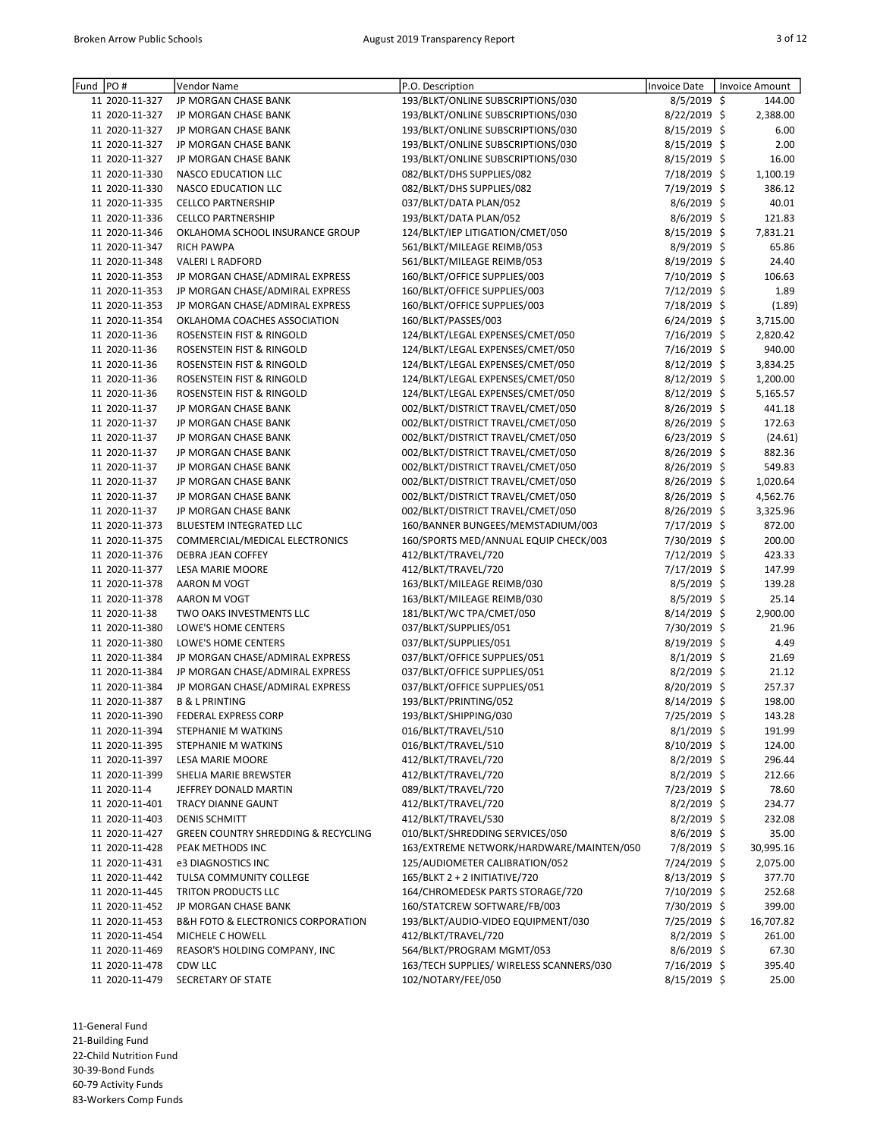| Fund | PO#                              | <b>Vendor Name</b>                                | P.O. Description                                  | Invoice Date                | Invoice Amount |                  |
|------|----------------------------------|---------------------------------------------------|---------------------------------------------------|-----------------------------|----------------|------------------|
|      | 11 2020-11-327                   | JP MORGAN CHASE BANK                              | 193/BLKT/ONLINE SUBSCRIPTIONS/030                 | $8/5/2019$ \$               |                | 144.00           |
|      | 11 2020-11-327                   | JP MORGAN CHASE BANK                              | 193/BLKT/ONLINE SUBSCRIPTIONS/030                 | 8/22/2019 \$                |                | 2,388.00         |
|      | 11 2020-11-327                   | JP MORGAN CHASE BANK                              | 193/BLKT/ONLINE SUBSCRIPTIONS/030                 | 8/15/2019 \$                |                | 6.00             |
|      | 11 2020-11-327                   | JP MORGAN CHASE BANK                              | 193/BLKT/ONLINE SUBSCRIPTIONS/030                 | 8/15/2019 \$                |                | 2.00             |
|      | 11 2020-11-327                   | JP MORGAN CHASE BANK                              | 193/BLKT/ONLINE SUBSCRIPTIONS/030                 | $8/15/2019$ \$              |                | 16.00            |
|      | 11 2020-11-330                   | <b>NASCO EDUCATION LLC</b>                        | 082/BLKT/DHS SUPPLIES/082                         | 7/18/2019 \$                |                | 1,100.19         |
|      | 11 2020-11-330                   | NASCO EDUCATION LLC                               | 082/BLKT/DHS SUPPLIES/082                         | 7/19/2019 \$                |                | 386.12           |
|      | 11 2020-11-335                   | <b>CELLCO PARTNERSHIP</b>                         | 037/BLKT/DATA PLAN/052                            | 8/6/2019 \$                 |                | 40.01            |
|      | 11 2020-11-336                   | <b>CELLCO PARTNERSHIP</b>                         | 193/BLKT/DATA PLAN/052                            | 8/6/2019 \$                 |                | 121.83           |
|      | 11 2020-11-346                   | OKLAHOMA SCHOOL INSURANCE GROUP                   | 124/BLKT/IEP LITIGATION/CMET/050                  | 8/15/2019 \$                |                | 7,831.21         |
|      | 11 2020-11-347                   | <b>RICH PAWPA</b>                                 | 561/BLKT/MILEAGE REIMB/053                        | 8/9/2019 \$                 |                | 65.86            |
|      | 11 2020-11-348                   | <b>VALERI L RADFORD</b>                           | 561/BLKT/MILEAGE REIMB/053                        | 8/19/2019 \$                |                | 24.40            |
|      | 11 2020-11-353                   | JP MORGAN CHASE/ADMIRAL EXPRESS                   | 160/BLKT/OFFICE SUPPLIES/003                      | 7/10/2019 \$                |                | 106.63           |
|      | 11 2020-11-353                   | JP MORGAN CHASE/ADMIRAL EXPRESS                   | 160/BLKT/OFFICE SUPPLIES/003                      | 7/12/2019 \$                |                | 1.89             |
|      | 11 2020-11-353                   | JP MORGAN CHASE/ADMIRAL EXPRESS                   | 160/BLKT/OFFICE SUPPLIES/003                      | 7/18/2019 \$                |                | (1.89)           |
|      | 11 2020-11-354                   | OKLAHOMA COACHES ASSOCIATION                      | 160/BLKT/PASSES/003                               | 6/24/2019 \$                |                | 3,715.00         |
|      | 11 2020-11-36                    | ROSENSTEIN FIST & RINGOLD                         | 124/BLKT/LEGAL EXPENSES/CMET/050                  | 7/16/2019 \$                |                | 2,820.42         |
|      | 11 2020-11-36                    | ROSENSTEIN FIST & RINGOLD                         | 124/BLKT/LEGAL EXPENSES/CMET/050                  | 7/16/2019 \$                |                | 940.00           |
|      | 11 2020-11-36                    | ROSENSTEIN FIST & RINGOLD                         | 124/BLKT/LEGAL EXPENSES/CMET/050                  | 8/12/2019 \$                |                | 3,834.25         |
|      | 11 2020-11-36                    | ROSENSTEIN FIST & RINGOLD                         | 124/BLKT/LEGAL EXPENSES/CMET/050                  | $8/12/2019$ \$              |                | 1,200.00         |
|      | 11 2020-11-36                    | ROSENSTEIN FIST & RINGOLD                         | 124/BLKT/LEGAL EXPENSES/CMET/050                  | 8/12/2019 \$                |                | 5,165.57         |
|      | 11 2020-11-37                    | JP MORGAN CHASE BANK                              | 002/BLKT/DISTRICT TRAVEL/CMET/050                 | 8/26/2019 \$                |                | 441.18           |
|      | 11 2020-11-37                    | JP MORGAN CHASE BANK                              | 002/BLKT/DISTRICT TRAVEL/CMET/050                 | 8/26/2019 \$                |                | 172.63           |
|      | 11 2020-11-37                    | JP MORGAN CHASE BANK                              | 002/BLKT/DISTRICT TRAVEL/CMET/050                 | 6/23/2019 \$                |                | (24.61)          |
|      | 11 2020-11-37                    | JP MORGAN CHASE BANK                              | 002/BLKT/DISTRICT TRAVEL/CMET/050                 | 8/26/2019 \$                |                | 882.36           |
|      | 11 2020-11-37                    | JP MORGAN CHASE BANK                              | 002/BLKT/DISTRICT TRAVEL/CMET/050                 | 8/26/2019 \$                |                | 549.83           |
|      | 11 2020-11-37                    | JP MORGAN CHASE BANK                              | 002/BLKT/DISTRICT TRAVEL/CMET/050                 | 8/26/2019 \$                |                | 1,020.64         |
|      | 11 2020-11-37                    | JP MORGAN CHASE BANK                              | 002/BLKT/DISTRICT TRAVEL/CMET/050                 | 8/26/2019 \$                |                | 4,562.76         |
|      | 11 2020-11-37                    | JP MORGAN CHASE BANK                              | 002/BLKT/DISTRICT TRAVEL/CMET/050                 | 8/26/2019 \$                |                | 3,325.96         |
|      | 11 2020-11-373                   | BLUESTEM INTEGRATED LLC                           | 160/BANNER BUNGEES/MEMSTADIUM/003                 | 7/17/2019 \$                |                | 872.00           |
|      | 11 2020-11-375                   | COMMERCIAL/MEDICAL ELECTRONICS                    | 160/SPORTS MED/ANNUAL EQUIP CHECK/003             | 7/30/2019 \$                |                | 200.00           |
|      | 11 2020-11-376<br>11 2020-11-377 | DEBRA JEAN COFFEY                                 | 412/BLKT/TRAVEL/720                               | 7/12/2019 \$                |                | 423.33           |
|      | 11 2020-11-378                   | <b>LESA MARIE MOORE</b><br>AARON M VOGT           | 412/BLKT/TRAVEL/720<br>163/BLKT/MILEAGE REIMB/030 | 7/17/2019 \$<br>8/5/2019 \$ |                | 147.99<br>139.28 |
|      | 11 2020-11-378                   | AARON M VOGT                                      | 163/BLKT/MILEAGE REIMB/030                        | $8/5/2019$ \$               |                | 25.14            |
|      | 11 2020-11-38                    | TWO OAKS INVESTMENTS LLC                          | 181/BLKT/WC TPA/CMET/050                          | 8/14/2019 \$                |                | 2,900.00         |
|      | 11 2020-11-380                   | LOWE'S HOME CENTERS                               | 037/BLKT/SUPPLIES/051                             | 7/30/2019 \$                |                | 21.96            |
|      | 11 2020-11-380                   | LOWE'S HOME CENTERS                               | 037/BLKT/SUPPLIES/051                             | 8/19/2019 \$                |                | 4.49             |
|      | 11 2020-11-384                   | JP MORGAN CHASE/ADMIRAL EXPRESS                   | 037/BLKT/OFFICE SUPPLIES/051                      | 8/1/2019 \$                 |                | 21.69            |
|      | 11 2020-11-384                   | JP MORGAN CHASE/ADMIRAL EXPRESS                   | 037/BLKT/OFFICE SUPPLIES/051                      | $8/2/2019$ \$               |                | 21.12            |
|      | 11 2020-11-384                   | JP MORGAN CHASE/ADMIRAL EXPRESS                   | 037/BLKT/OFFICE SUPPLIES/051                      | 8/20/2019 \$                |                | 257.37           |
|      | 11 2020-11-387                   | <b>B &amp; L PRINTING</b>                         | 193/BLKT/PRINTING/052                             | 8/14/2019 \$                |                | 198.00           |
|      | 11 2020-11-390                   | FEDERAL EXPRESS CORP                              | 193/BLKT/SHIPPING/030                             | 7/25/2019 \$                |                | 143.28           |
|      | 11 2020-11-394                   | STEPHANIE M WATKINS                               | 016/BLKT/TRAVEL/510                               | $8/1/2019$ \$               |                | 191.99           |
|      | 11 2020-11-395                   | STEPHANIE M WATKINS                               | 016/BLKT/TRAVEL/510                               | $8/10/2019$ \$              |                | 124.00           |
|      | 11 2020-11-397                   | <b>LESA MARIE MOORE</b>                           | 412/BLKT/TRAVEL/720                               | $8/2/2019$ \$               |                | 296.44           |
|      | 11 2020-11-399                   | SHELIA MARIE BREWSTER                             | 412/BLKT/TRAVEL/720                               | $8/2/2019$ \$               |                | 212.66           |
|      | 11 2020-11-4                     | JEFFREY DONALD MARTIN                             | 089/BLKT/TRAVEL/720                               | 7/23/2019 \$                |                | 78.60            |
|      | 11 2020-11-401                   | <b>TRACY DIANNE GAUNT</b>                         | 412/BLKT/TRAVEL/720                               | $8/2/2019$ \$               |                | 234.77           |
|      | 11 2020-11-403                   | <b>DENIS SCHMITT</b>                              | 412/BLKT/TRAVEL/530                               | $8/2/2019$ \$               |                | 232.08           |
|      | 11 2020-11-427                   | <b>GREEN COUNTRY SHREDDING &amp; RECYCLING</b>    | 010/BLKT/SHREDDING SERVICES/050                   | $8/6/2019$ \$               |                | 35.00            |
|      | 11 2020-11-428                   | PEAK METHODS INC                                  | 163/EXTREME NETWORK/HARDWARE/MAINTEN/050          | 7/8/2019 \$                 |                | 30,995.16        |
|      | 11 2020-11-431                   | e3 DIAGNOSTICS INC                                | 125/AUDIOMETER CALIBRATION/052                    | 7/24/2019 \$                |                | 2,075.00         |
|      | 11 2020-11-442                   | TULSA COMMUNITY COLLEGE                           | 165/BLKT 2 + 2 INITIATIVE/720                     | 8/13/2019 \$                |                | 377.70           |
|      | 11 2020-11-445                   | TRITON PRODUCTS LLC                               | 164/CHROMEDESK PARTS STORAGE/720                  | 7/10/2019 \$                |                | 252.68           |
|      | 11 2020-11-452                   | JP MORGAN CHASE BANK                              | 160/STATCREW SOFTWARE/FB/003                      | 7/30/2019 \$                |                | 399.00           |
|      | 11 2020-11-453                   | <b>B&amp;H FOTO &amp; ELECTRONICS CORPORATION</b> | 193/BLKT/AUDIO-VIDEO EQUIPMENT/030                | 7/25/2019 \$                |                | 16,707.82        |
|      | 11 2020-11-454                   | MICHELE C HOWELL                                  | 412/BLKT/TRAVEL/720                               | $8/2/2019$ \$               |                | 261.00           |
|      | 11 2020-11-469                   | REASOR'S HOLDING COMPANY, INC                     | 564/BLKT/PROGRAM MGMT/053                         | $8/6/2019$ \$               |                | 67.30            |
|      | 11 2020-11-478                   | CDW LLC                                           | 163/TECH SUPPLIES/ WIRELESS SCANNERS/030          | 7/16/2019 \$                |                | 395.40           |
|      | 11 2020-11-479                   | SECRETARY OF STATE                                | 102/NOTARY/FEE/050                                | 8/15/2019 \$                |                | 25.00            |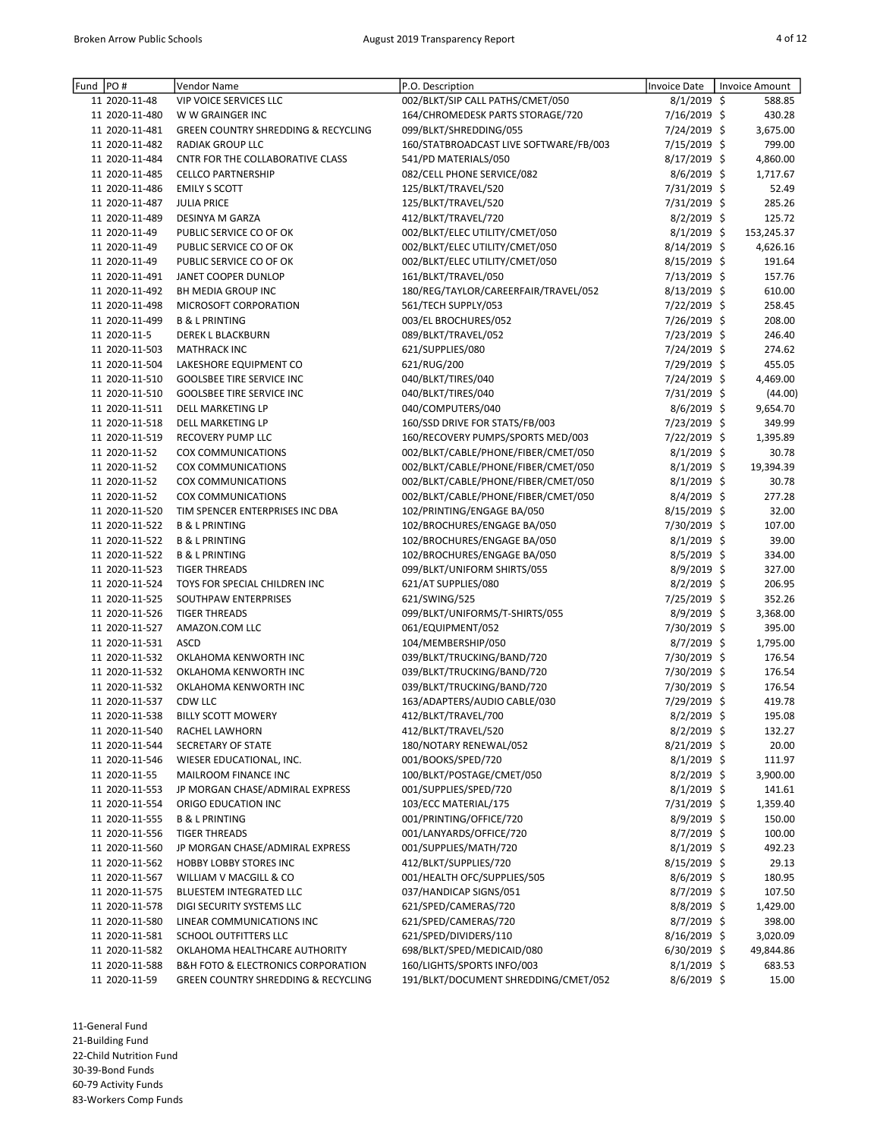| Fund | PO#            | Vendor Name                                       | P.O. Description                       | <b>Invoice Date</b> | <b>Invoice Amount</b> |
|------|----------------|---------------------------------------------------|----------------------------------------|---------------------|-----------------------|
|      | 11 2020-11-48  | <b>VIP VOICE SERVICES LLC</b>                     | 002/BLKT/SIP CALL PATHS/CMET/050       | $8/1/2019$ \$       | 588.85                |
|      | 11 2020-11-480 | W W GRAINGER INC                                  | 164/CHROMEDESK PARTS STORAGE/720       | 7/16/2019 \$        | 430.28                |
|      | 11 2020-11-481 | <b>GREEN COUNTRY SHREDDING &amp; RECYCLING</b>    | 099/BLKT/SHREDDING/055                 | 7/24/2019 \$        | 3,675.00              |
|      | 11 2020-11-482 | <b>RADIAK GROUP LLC</b>                           | 160/STATBROADCAST LIVE SOFTWARE/FB/003 | 7/15/2019 \$        | 799.00                |
|      | 11 2020-11-484 | CNTR FOR THE COLLABORATIVE CLASS                  | 541/PD MATERIALS/050                   | 8/17/2019 \$        | 4,860.00              |
|      | 11 2020-11-485 | <b>CELLCO PARTNERSHIP</b>                         | 082/CELL PHONE SERVICE/082             | $8/6/2019$ \$       | 1,717.67              |
|      | 11 2020-11-486 | <b>EMILY S SCOTT</b>                              | 125/BLKT/TRAVEL/520                    | 7/31/2019 \$        | 52.49                 |
|      | 11 2020-11-487 | <b>JULIA PRICE</b>                                | 125/BLKT/TRAVEL/520                    | 7/31/2019 \$        | 285.26                |
|      | 11 2020-11-489 | <b>DESINYA M GARZA</b>                            | 412/BLKT/TRAVEL/720                    | 8/2/2019 \$         | 125.72                |
|      | 11 2020-11-49  | PUBLIC SERVICE CO OF OK                           | 002/BLKT/ELEC UTILITY/CMET/050         | $8/1/2019$ \$       | 153,245.37            |
|      | 11 2020-11-49  | PUBLIC SERVICE CO OF OK                           | 002/BLKT/ELEC UTILITY/CMET/050         | 8/14/2019 \$        | 4,626.16              |
|      | 11 2020-11-49  | PUBLIC SERVICE CO OF OK                           | 002/BLKT/ELEC UTILITY/CMET/050         | 8/15/2019 \$        | 191.64                |
|      | 11 2020-11-491 | JANET COOPER DUNLOP                               | 161/BLKT/TRAVEL/050                    | 7/13/2019 \$        | 157.76                |
|      | 11 2020-11-492 | BH MEDIA GROUP INC                                | 180/REG/TAYLOR/CAREERFAIR/TRAVEL/052   | $8/13/2019$ \$      | 610.00                |
|      | 11 2020-11-498 | MICROSOFT CORPORATION                             | 561/TECH SUPPLY/053                    | 7/22/2019 \$        | 258.45                |
|      | 11 2020-11-499 | <b>B &amp; L PRINTING</b>                         | 003/EL BROCHURES/052                   | 7/26/2019 \$        | 208.00                |
|      | 11 2020-11-5   | <b>DEREK L BLACKBURN</b>                          | 089/BLKT/TRAVEL/052                    | 7/23/2019 \$        | 246.40                |
|      | 11 2020-11-503 | <b>MATHRACK INC</b>                               | 621/SUPPLIES/080                       | 7/24/2019 \$        | 274.62                |
|      | 11 2020-11-504 | LAKESHORE EQUIPMENT CO                            | 621/RUG/200                            | 7/29/2019 \$        | 455.05                |
|      | 11 2020-11-510 | <b>GOOLSBEE TIRE SERVICE INC</b>                  | 040/BLKT/TIRES/040                     | 7/24/2019 \$        | 4,469.00              |
|      | 11 2020-11-510 | <b>GOOLSBEE TIRE SERVICE INC</b>                  | 040/BLKT/TIRES/040                     | 7/31/2019 \$        | (44.00)               |
|      | 11 2020-11-511 | <b>DELL MARKETING LP</b>                          | 040/COMPUTERS/040                      | 8/6/2019 \$         | 9,654.70              |
|      | 11 2020-11-518 | DELL MARKETING LP                                 | 160/SSD DRIVE FOR STATS/FB/003         | 7/23/2019 \$        | 349.99                |
|      | 11 2020-11-519 | RECOVERY PUMP LLC                                 | 160/RECOVERY PUMPS/SPORTS MED/003      | 7/22/2019 \$        | 1,395.89              |
|      | 11 2020-11-52  | COX COMMUNICATIONS                                | 002/BLKT/CABLE/PHONE/FIBER/CMET/050    | $8/1/2019$ \$       | 30.78                 |
|      | 11 2020-11-52  | <b>COX COMMUNICATIONS</b>                         | 002/BLKT/CABLE/PHONE/FIBER/CMET/050    | $8/1/2019$ \$       | 19,394.39             |
|      | 11 2020-11-52  | <b>COX COMMUNICATIONS</b>                         | 002/BLKT/CABLE/PHONE/FIBER/CMET/050    | $8/1/2019$ \$       | 30.78                 |
|      | 11 2020-11-52  | COX COMMUNICATIONS                                | 002/BLKT/CABLE/PHONE/FIBER/CMET/050    | 8/4/2019 \$         | 277.28                |
|      | 11 2020-11-520 | TIM SPENCER ENTERPRISES INC DBA                   | 102/PRINTING/ENGAGE BA/050             | 8/15/2019 \$        | 32.00                 |
|      | 11 2020-11-522 | <b>B &amp; L PRINTING</b>                         | 102/BROCHURES/ENGAGE BA/050            | 7/30/2019 \$        | 107.00                |
|      | 11 2020-11-522 | <b>B &amp; L PRINTING</b>                         | 102/BROCHURES/ENGAGE BA/050            | $8/1/2019$ \$       | 39.00                 |
|      | 11 2020-11-522 | <b>B &amp; L PRINTING</b>                         | 102/BROCHURES/ENGAGE BA/050            | $8/5/2019$ \$       | 334.00                |
|      | 11 2020-11-523 | <b>TIGER THREADS</b>                              | 099/BLKT/UNIFORM SHIRTS/055            | 8/9/2019 \$         | 327.00                |
|      | 11 2020-11-524 | TOYS FOR SPECIAL CHILDREN INC                     | 621/AT SUPPLIES/080                    | $8/2/2019$ \$       | 206.95                |
|      | 11 2020-11-525 | SOUTHPAW ENTERPRISES                              | 621/SWING/525                          | 7/25/2019 \$        | 352.26                |
|      | 11 2020-11-526 | <b>TIGER THREADS</b>                              | 099/BLKT/UNIFORMS/T-SHIRTS/055         | 8/9/2019 \$         | 3,368.00              |
|      | 11 2020-11-527 | AMAZON.COM LLC                                    | 061/EQUIPMENT/052                      | 7/30/2019 \$        | 395.00                |
|      | 11 2020-11-531 | <b>ASCD</b>                                       | 104/MEMBERSHIP/050                     | $8/7/2019$ \$       | 1,795.00              |
|      | 11 2020-11-532 | OKLAHOMA KENWORTH INC                             | 039/BLKT/TRUCKING/BAND/720             | 7/30/2019 \$        | 176.54                |
|      | 11 2020-11-532 | OKLAHOMA KENWORTH INC                             | 039/BLKT/TRUCKING/BAND/720             | 7/30/2019 \$        | 176.54                |
|      | 11 2020-11-532 | OKLAHOMA KENWORTH INC                             | 039/BLKT/TRUCKING/BAND/720             | 7/30/2019 \$        | 176.54                |
|      | 11 2020-11-537 | CDW LLC                                           | 163/ADAPTERS/AUDIO CABLE/030           | 7/29/2019 \$        | 419.78                |
|      | 11 2020-11-538 | <b>BILLY SCOTT MOWERY</b>                         | 412/BLKT/TRAVEL/700                    | 8/2/2019 \$         | 195.08                |
|      | 11 2020-11-540 | RACHEL LAWHORN                                    | 412/BLKT/TRAVEL/520                    | $8/2/2019$ \$       | 132.27                |
|      | 11 2020-11-544 | SECRETARY OF STATE                                | 180/NOTARY RENEWAL/052                 | 8/21/2019 \$        | 20.00                 |
|      | 11 2020-11-546 | WIESER EDUCATIONAL, INC.                          | 001/BOOKS/SPED/720                     | $8/1/2019$ \$       | 111.97                |
|      | 11 2020-11-55  | MAILROOM FINANCE INC                              | 100/BLKT/POSTAGE/CMET/050              | $8/2/2019$ \$       | 3,900.00              |
|      | 11 2020-11-553 | JP MORGAN CHASE/ADMIRAL EXPRESS                   | 001/SUPPLIES/SPED/720                  | $8/1/2019$ \$       | 141.61                |
|      | 11 2020-11-554 | ORIGO EDUCATION INC                               | 103/ECC MATERIAL/175                   | 7/31/2019 \$        | 1,359.40              |
|      | 11 2020-11-555 | <b>B &amp; L PRINTING</b>                         | 001/PRINTING/OFFICE/720                | $8/9/2019$ \$       | 150.00                |
|      | 11 2020-11-556 | <b>TIGER THREADS</b>                              | 001/LANYARDS/OFFICE/720                | $8/7/2019$ \$       | 100.00                |
|      | 11 2020-11-560 | JP MORGAN CHASE/ADMIRAL EXPRESS                   | 001/SUPPLIES/MATH/720                  | $8/1/2019$ \$       | 492.23                |
|      | 11 2020-11-562 | <b>HOBBY LOBBY STORES INC</b>                     | 412/BLKT/SUPPLIES/720                  | 8/15/2019 \$        | 29.13                 |
|      | 11 2020-11-567 | WILLIAM V MACGILL & CO                            | 001/HEALTH OFC/SUPPLIES/505            | $8/6/2019$ \$       | 180.95                |
|      | 11 2020-11-575 | BLUESTEM INTEGRATED LLC                           | 037/HANDICAP SIGNS/051                 | 8/7/2019 \$         | 107.50                |
|      | 11 2020-11-578 | DIGI SECURITY SYSTEMS LLC                         | 621/SPED/CAMERAS/720                   | $8/8/2019$ \$       | 1,429.00              |
|      | 11 2020-11-580 | LINEAR COMMUNICATIONS INC                         | 621/SPED/CAMERAS/720                   | $8/7/2019$ \$       | 398.00                |
|      | 11 2020-11-581 | SCHOOL OUTFITTERS LLC                             | 621/SPED/DIVIDERS/110                  | $8/16/2019$ \$      | 3,020.09              |
|      | 11 2020-11-582 | OKLAHOMA HEALTHCARE AUTHORITY                     | 698/BLKT/SPED/MEDICAID/080             | $6/30/2019$ \$      | 49,844.86             |
|      | 11 2020-11-588 | <b>B&amp;H FOTO &amp; ELECTRONICS CORPORATION</b> | 160/LIGHTS/SPORTS INFO/003             | $8/1/2019$ \$       | 683.53                |
|      | 11 2020-11-59  | GREEN COUNTRY SHREDDING & RECYCLING               | 191/BLKT/DOCUMENT SHREDDING/CMET/052   | 8/6/2019 \$         | 15.00                 |

21-Building Fund

22-Child Nutrition Fund

30-39-Bond Funds

60-79 Activity Funds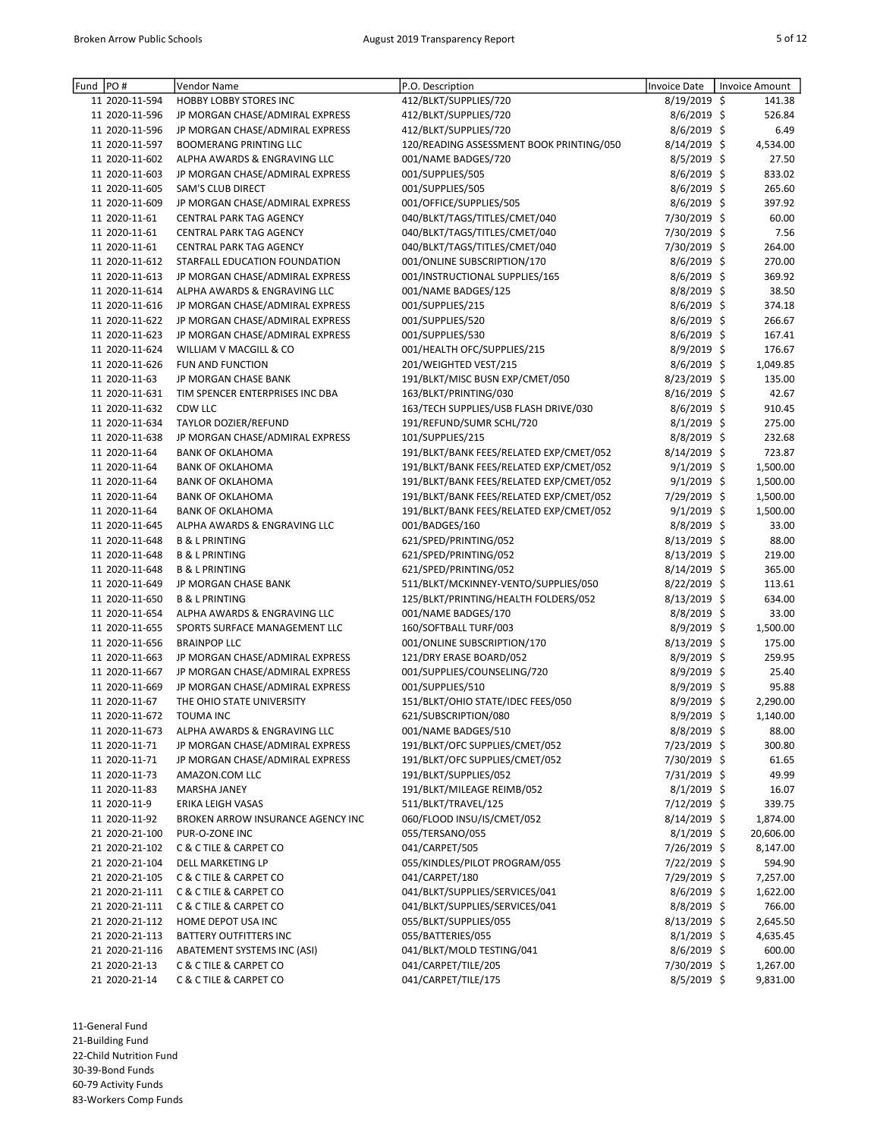| Fund | PO#            | Vendor Name                                                      | P.O. Description                         | <b>Invoice Date</b> | <b>Invoice Amount</b> |
|------|----------------|------------------------------------------------------------------|------------------------------------------|---------------------|-----------------------|
|      | 11 2020-11-594 | <b>HOBBY LOBBY STORES INC</b>                                    | 412/BLKT/SUPPLIES/720                    | 8/19/2019 \$        | 141.38                |
|      | 11 2020-11-596 | JP MORGAN CHASE/ADMIRAL EXPRESS                                  | 412/BLKT/SUPPLIES/720                    | 8/6/2019 \$         | 526.84                |
|      | 11 2020-11-596 |                                                                  | 412/BLKT/SUPPLIES/720                    | 8/6/2019 \$         | 6.49                  |
|      | 11 2020-11-597 | JP MORGAN CHASE/ADMIRAL EXPRESS<br><b>BOOMERANG PRINTING LLC</b> |                                          | 8/14/2019 \$        |                       |
|      |                |                                                                  | 120/READING ASSESSMENT BOOK PRINTING/050 |                     | 4,534.00              |
|      | 11 2020-11-602 | ALPHA AWARDS & ENGRAVING LLC                                     | 001/NAME BADGES/720                      | $8/5/2019$ \$       | 27.50                 |
|      | 11 2020-11-603 | JP MORGAN CHASE/ADMIRAL EXPRESS                                  | 001/SUPPLIES/505                         | $8/6/2019$ \$       | 833.02                |
|      | 11 2020-11-605 | SAM'S CLUB DIRECT                                                | 001/SUPPLIES/505                         | $8/6/2019$ \$       | 265.60                |
|      | 11 2020-11-609 | JP MORGAN CHASE/ADMIRAL EXPRESS                                  | 001/OFFICE/SUPPLIES/505                  | 8/6/2019 \$         | 397.92                |
|      | 11 2020-11-61  | CENTRAL PARK TAG AGENCY                                          | 040/BLKT/TAGS/TITLES/CMET/040            | 7/30/2019 \$        | 60.00                 |
|      | 11 2020-11-61  | <b>CENTRAL PARK TAG AGENCY</b>                                   | 040/BLKT/TAGS/TITLES/CMET/040            | 7/30/2019 \$        | 7.56                  |
|      | 11 2020-11-61  | CENTRAL PARK TAG AGENCY                                          | 040/BLKT/TAGS/TITLES/CMET/040            | 7/30/2019 \$        | 264.00                |
|      | 11 2020-11-612 | STARFALL EDUCATION FOUNDATION                                    | 001/ONLINE SUBSCRIPTION/170              | 8/6/2019 \$         | 270.00                |
|      | 11 2020-11-613 | JP MORGAN CHASE/ADMIRAL EXPRESS                                  | 001/INSTRUCTIONAL SUPPLIES/165           | 8/6/2019 \$         | 369.92                |
|      | 11 2020-11-614 | ALPHA AWARDS & ENGRAVING LLC                                     | 001/NAME BADGES/125                      | 8/8/2019 \$         | 38.50                 |
|      | 11 2020-11-616 | JP MORGAN CHASE/ADMIRAL EXPRESS                                  | 001/SUPPLIES/215                         | 8/6/2019 \$         | 374.18                |
|      | 11 2020-11-622 | JP MORGAN CHASE/ADMIRAL EXPRESS                                  | 001/SUPPLIES/520                         | 8/6/2019 \$         | 266.67                |
|      | 11 2020-11-623 | JP MORGAN CHASE/ADMIRAL EXPRESS                                  | 001/SUPPLIES/530                         | 8/6/2019 \$         | 167.41                |
|      | 11 2020-11-624 | WILLIAM V MACGILL & CO                                           | 001/HEALTH OFC/SUPPLIES/215              | 8/9/2019 \$         | 176.67                |
|      | 11 2020-11-626 | <b>FUN AND FUNCTION</b>                                          | 201/WEIGHTED VEST/215                    | 8/6/2019 \$         | 1,049.85              |
|      | 11 2020-11-63  | JP MORGAN CHASE BANK                                             | 191/BLKT/MISC BUSN EXP/CMET/050          | 8/23/2019 \$        | 135.00                |
|      | 11 2020-11-631 | TIM SPENCER ENTERPRISES INC DBA                                  | 163/BLKT/PRINTING/030                    | 8/16/2019 \$        | 42.67                 |
|      | 11 2020-11-632 | CDW LLC                                                          | 163/TECH SUPPLIES/USB FLASH DRIVE/030    | 8/6/2019 \$         | 910.45                |
|      | 11 2020-11-634 | TAYLOR DOZIER/REFUND                                             | 191/REFUND/SUMR SCHL/720                 | 8/1/2019 \$         | 275.00                |
|      | 11 2020-11-638 | JP MORGAN CHASE/ADMIRAL EXPRESS                                  | 101/SUPPLIES/215                         | 8/8/2019 \$         | 232.68                |
|      | 11 2020-11-64  | <b>BANK OF OKLAHOMA</b>                                          | 191/BLKT/BANK FEES/RELATED EXP/CMET/052  | 8/14/2019 \$        | 723.87                |
|      | 11 2020-11-64  | <b>BANK OF OKLAHOMA</b>                                          | 191/BLKT/BANK FEES/RELATED EXP/CMET/052  | $9/1/2019$ \$       | 1,500.00              |
|      | 11 2020-11-64  | <b>BANK OF OKLAHOMA</b>                                          | 191/BLKT/BANK FEES/RELATED EXP/CMET/052  | $9/1/2019$ \$       | 1,500.00              |
|      | 11 2020-11-64  | <b>BANK OF OKLAHOMA</b>                                          | 191/BLKT/BANK FEES/RELATED EXP/CMET/052  | 7/29/2019 \$        | 1,500.00              |
|      | 11 2020-11-64  | <b>BANK OF OKLAHOMA</b>                                          | 191/BLKT/BANK FEES/RELATED EXP/CMET/052  | $9/1/2019$ \$       | 1,500.00              |
|      | 11 2020-11-645 | ALPHA AWARDS & ENGRAVING LLC                                     | 001/BADGES/160                           | 8/8/2019 \$         | 33.00                 |
|      | 11 2020-11-648 | <b>B &amp; L PRINTING</b>                                        | 621/SPED/PRINTING/052                    | 8/13/2019 \$        | 88.00                 |
|      | 11 2020-11-648 | <b>B &amp; L PRINTING</b>                                        | 621/SPED/PRINTING/052                    | 8/13/2019 \$        | 219.00                |
|      | 11 2020-11-648 | <b>B &amp; L PRINTING</b>                                        | 621/SPED/PRINTING/052                    | 8/14/2019 \$        | 365.00                |
|      | 11 2020-11-649 | JP MORGAN CHASE BANK                                             | 511/BLKT/MCKINNEY-VENTO/SUPPLIES/050     | $8/22/2019$ \$      | 113.61                |
|      | 11 2020-11-650 | <b>B &amp; L PRINTING</b>                                        | 125/BLKT/PRINTING/HEALTH FOLDERS/052     | $8/13/2019$ \$      | 634.00                |
|      | 11 2020-11-654 | ALPHA AWARDS & ENGRAVING LLC                                     | 001/NAME BADGES/170                      | 8/8/2019 \$         | 33.00                 |
|      | 11 2020-11-655 | SPORTS SURFACE MANAGEMENT LLC                                    | 160/SOFTBALL TURF/003                    | 8/9/2019 \$         | 1,500.00              |
|      | 11 2020-11-656 | <b>BRAINPOP LLC</b>                                              | 001/ONLINE SUBSCRIPTION/170              | 8/13/2019 \$        | 175.00                |
|      | 11 2020-11-663 | JP MORGAN CHASE/ADMIRAL EXPRESS                                  | 121/DRY ERASE BOARD/052                  | 8/9/2019 \$         | 259.95                |
|      | 11 2020-11-667 | JP MORGAN CHASE/ADMIRAL EXPRESS                                  | 001/SUPPLIES/COUNSELING/720              | 8/9/2019 \$         | 25.40                 |
|      | 11 2020-11-669 | JP MORGAN CHASE/ADMIRAL EXPRESS                                  | 001/SUPPLIES/510                         | 8/9/2019 \$         | 95.88                 |
|      | 11 2020-11-67  | THE OHIO STATE UNIVERSITY                                        | 151/BLKT/OHIO STATE/IDEC FEES/050        | 8/9/2019 \$         | 2,290.00              |
|      | 11 2020-11-672 | TOUMA INC                                                        | 621/SUBSCRIPTION/080                     | 8/9/2019 \$         | 1,140.00              |
|      | 11 2020-11-673 | ALPHA AWARDS & ENGRAVING LLC                                     | 001/NAME BADGES/510                      | $8/8/2019$ \$       | 88.00                 |
|      | 11 2020-11-71  | JP MORGAN CHASE/ADMIRAL EXPRESS                                  | 191/BLKT/OFC SUPPLIES/CMET/052           | 7/23/2019 \$        | 300.80                |
|      | 11 2020-11-71  | JP MORGAN CHASE/ADMIRAL EXPRESS                                  | 191/BLKT/OFC SUPPLIES/CMET/052           | 7/30/2019 \$        | 61.65                 |
|      | 11 2020-11-73  | AMAZON.COM LLC                                                   | 191/BLKT/SUPPLIES/052                    | 7/31/2019 \$        | 49.99                 |
|      | 11 2020-11-83  | MARSHA JANEY                                                     | 191/BLKT/MILEAGE REIMB/052               | $8/1/2019$ \$       | 16.07                 |
|      | 11 2020-11-9   | ERIKA LEIGH VASAS                                                | 511/BLKT/TRAVEL/125                      | 7/12/2019 \$        | 339.75                |
|      | 11 2020-11-92  | BROKEN ARROW INSURANCE AGENCY INC                                | 060/FLOOD INSU/IS/CMET/052               | $8/14/2019$ \$      | 1,874.00              |
|      | 21 2020-21-100 | PUR-O-ZONE INC                                                   | 055/TERSANO/055                          | $8/1/2019$ \$       | 20,606.00             |
|      | 21 2020-21-102 | C & C TILE & CARPET CO                                           | 041/CARPET/505                           | 7/26/2019 \$        | 8,147.00              |
|      | 21 2020-21-104 | DELL MARKETING LP                                                | 055/KINDLES/PILOT PROGRAM/055            | 7/22/2019 \$        | 594.90                |
|      | 21 2020-21-105 | C & C TILE & CARPET CO                                           | 041/CARPET/180                           | 7/29/2019 \$        | 7,257.00              |
|      | 21 2020-21-111 | <b>C &amp; C TILE &amp; CARPET CO</b>                            | 041/BLKT/SUPPLIES/SERVICES/041           | 8/6/2019 \$         | 1,622.00              |
|      | 21 2020-21-111 | C & C TILE & CARPET CO                                           | 041/BLKT/SUPPLIES/SERVICES/041           | $8/8/2019$ \$       | 766.00                |
|      | 21 2020-21-112 | HOME DEPOT USA INC                                               | 055/BLKT/SUPPLIES/055                    | $8/13/2019$ \$      | 2,645.50              |
|      | 21 2020-21-113 | <b>BATTERY OUTFITTERS INC</b>                                    | 055/BATTERIES/055                        | $8/1/2019$ \$       | 4,635.45              |
|      | 21 2020-21-116 | ABATEMENT SYSTEMS INC (ASI)                                      | 041/BLKT/MOLD TESTING/041                | $8/6/2019$ \$       | 600.00                |
|      | 21 2020-21-13  | C & C TILE & CARPET CO                                           | 041/CARPET/TILE/205                      | 7/30/2019 \$        | 1,267.00              |
|      | 21 2020-21-14  | C & C TILE & CARPET CO                                           | 041/CARPET/TILE/175                      | 8/5/2019 \$         | 9,831.00              |
|      |                |                                                                  |                                          |                     |                       |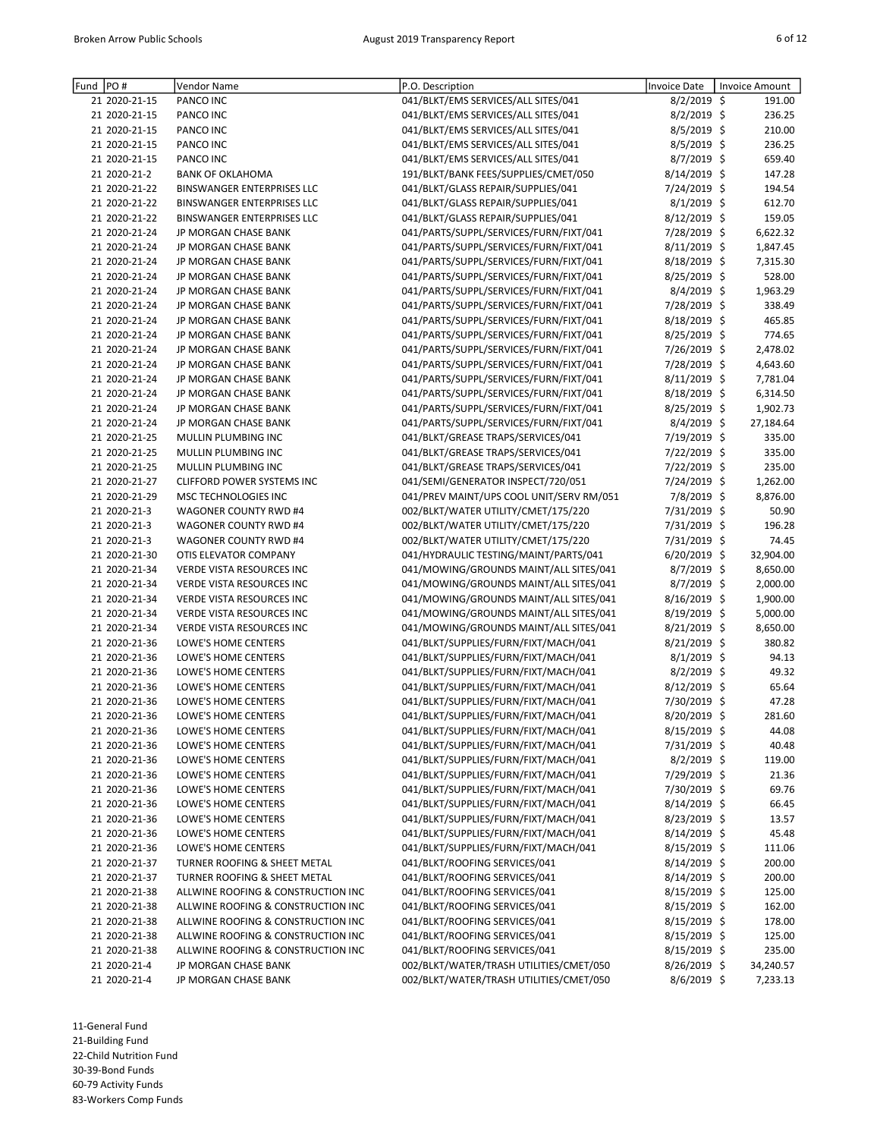| Fund | PO#           | Vendor Name                        | P.O. Description                         | <b>Invoice Date</b>            | Invoice Amount |
|------|---------------|------------------------------------|------------------------------------------|--------------------------------|----------------|
|      | 21 2020-21-15 | PANCO INC                          | 041/BLKT/EMS SERVICES/ALL SITES/041      | 8/2/2019 \$                    | 191.00         |
|      | 21 2020-21-15 | PANCO INC                          | 041/BLKT/EMS SERVICES/ALL SITES/041      | 8/2/2019 \$                    | 236.25         |
|      | 21 2020-21-15 | PANCO INC                          | 041/BLKT/EMS SERVICES/ALL SITES/041      | 8/5/2019 \$                    | 210.00         |
|      | 21 2020-21-15 | PANCO INC                          | 041/BLKT/EMS SERVICES/ALL SITES/041      | 8/5/2019 \$                    | 236.25         |
|      | 21 2020-21-15 | PANCO INC                          | 041/BLKT/EMS SERVICES/ALL SITES/041      | 8/7/2019 \$                    | 659.40         |
|      | 21 2020-21-2  | <b>BANK OF OKLAHOMA</b>            | 191/BLKT/BANK FEES/SUPPLIES/CMET/050     | 8/14/2019 \$                   | 147.28         |
|      | 21 2020-21-22 | <b>BINSWANGER ENTERPRISES LLC</b>  | 041/BLKT/GLASS REPAIR/SUPPLIES/041       | 7/24/2019 \$                   | 194.54         |
|      | 21 2020-21-22 | <b>BINSWANGER ENTERPRISES LLC</b>  | 041/BLKT/GLASS REPAIR/SUPPLIES/041       | 8/1/2019 \$                    | 612.70         |
|      | 21 2020-21-22 | BINSWANGER ENTERPRISES LLC         | 041/BLKT/GLASS REPAIR/SUPPLIES/041       | 8/12/2019 \$                   | 159.05         |
|      | 21 2020-21-24 | JP MORGAN CHASE BANK               | 041/PARTS/SUPPL/SERVICES/FURN/FIXT/041   | 7/28/2019 \$                   | 6,622.32       |
|      | 21 2020-21-24 | JP MORGAN CHASE BANK               | 041/PARTS/SUPPL/SERVICES/FURN/FIXT/041   | $8/11/2019$ \$                 | 1,847.45       |
|      | 21 2020-21-24 | JP MORGAN CHASE BANK               | 041/PARTS/SUPPL/SERVICES/FURN/FIXT/041   | 8/18/2019 \$                   | 7,315.30       |
|      | 21 2020-21-24 | JP MORGAN CHASE BANK               | 041/PARTS/SUPPL/SERVICES/FURN/FIXT/041   | 8/25/2019 \$                   | 528.00         |
|      | 21 2020-21-24 | JP MORGAN CHASE BANK               | 041/PARTS/SUPPL/SERVICES/FURN/FIXT/041   | 8/4/2019 \$                    | 1,963.29       |
|      | 21 2020-21-24 | JP MORGAN CHASE BANK               | 041/PARTS/SUPPL/SERVICES/FURN/FIXT/041   | 7/28/2019 \$                   | 338.49         |
|      | 21 2020-21-24 | JP MORGAN CHASE BANK               | 041/PARTS/SUPPL/SERVICES/FURN/FIXT/041   | 8/18/2019 \$                   | 465.85         |
|      | 21 2020-21-24 | JP MORGAN CHASE BANK               | 041/PARTS/SUPPL/SERVICES/FURN/FIXT/041   | 8/25/2019 \$                   | 774.65         |
|      | 21 2020-21-24 | JP MORGAN CHASE BANK               | 041/PARTS/SUPPL/SERVICES/FURN/FIXT/041   | 7/26/2019 \$                   | 2,478.02       |
|      | 21 2020-21-24 | JP MORGAN CHASE BANK               | 041/PARTS/SUPPL/SERVICES/FURN/FIXT/041   | 7/28/2019 \$                   | 4,643.60       |
|      | 21 2020-21-24 | JP MORGAN CHASE BANK               | 041/PARTS/SUPPL/SERVICES/FURN/FIXT/041   | 8/11/2019 \$                   | 7,781.04       |
|      | 21 2020-21-24 |                                    | 041/PARTS/SUPPL/SERVICES/FURN/FIXT/041   |                                |                |
|      |               | JP MORGAN CHASE BANK               |                                          | 8/18/2019 \$                   | 6,314.50       |
|      | 21 2020-21-24 | <b>JP MORGAN CHASE BANK</b>        | 041/PARTS/SUPPL/SERVICES/FURN/FIXT/041   | 8/25/2019 \$                   | 1,902.73       |
|      | 21 2020-21-24 | JP MORGAN CHASE BANK               | 041/PARTS/SUPPL/SERVICES/FURN/FIXT/041   | 8/4/2019 \$                    | 27,184.64      |
|      | 21 2020-21-25 | MULLIN PLUMBING INC                | 041/BLKT/GREASE TRAPS/SERVICES/041       | 7/19/2019 \$                   | 335.00         |
|      | 21 2020-21-25 | MULLIN PLUMBING INC                | 041/BLKT/GREASE TRAPS/SERVICES/041       | 7/22/2019 \$                   | 335.00         |
|      | 21 2020-21-25 | MULLIN PLUMBING INC                | 041/BLKT/GREASE TRAPS/SERVICES/041       | 7/22/2019 \$                   | 235.00         |
|      | 21 2020-21-27 | <b>CLIFFORD POWER SYSTEMS INC</b>  | 041/SEMI/GENERATOR INSPECT/720/051       | 7/24/2019 \$                   | 1,262.00       |
|      | 21 2020-21-29 | MSC TECHNOLOGIES INC               | 041/PREV MAINT/UPS COOL UNIT/SERV RM/051 | 7/8/2019 \$                    | 8,876.00       |
|      | 21 2020-21-3  | WAGONER COUNTY RWD #4              | 002/BLKT/WATER UTILITY/CMET/175/220      | 7/31/2019 \$                   | 50.90          |
|      | 21 2020-21-3  | WAGONER COUNTY RWD #4              | 002/BLKT/WATER UTILITY/CMET/175/220      | 7/31/2019 \$                   | 196.28         |
|      | 21 2020-21-3  | WAGONER COUNTY RWD #4              | 002/BLKT/WATER UTILITY/CMET/175/220      | 7/31/2019 \$                   | 74.45          |
|      | 21 2020-21-30 | OTIS ELEVATOR COMPANY              | 041/HYDRAULIC TESTING/MAINT/PARTS/041    | 6/20/2019 \$                   | 32,904.00      |
|      | 21 2020-21-34 | <b>VERDE VISTA RESOURCES INC</b>   | 041/MOWING/GROUNDS MAINT/ALL SITES/041   | $8/7/2019$ \$                  | 8,650.00       |
|      | 21 2020-21-34 | <b>VERDE VISTA RESOURCES INC</b>   | 041/MOWING/GROUNDS MAINT/ALL SITES/041   | $8/7/2019$ \$                  | 2,000.00       |
|      | 21 2020-21-34 | VERDE VISTA RESOURCES INC          | 041/MOWING/GROUNDS MAINT/ALL SITES/041   | 8/16/2019 \$                   | 1,900.00       |
|      | 21 2020-21-34 | VERDE VISTA RESOURCES INC          | 041/MOWING/GROUNDS MAINT/ALL SITES/041   | 8/19/2019 \$                   | 5,000.00       |
|      | 21 2020-21-34 | <b>VERDE VISTA RESOURCES INC</b>   | 041/MOWING/GROUNDS MAINT/ALL SITES/041   | 8/21/2019 \$                   | 8,650.00       |
|      | 21 2020-21-36 | LOWE'S HOME CENTERS                | 041/BLKT/SUPPLIES/FURN/FIXT/MACH/041     | 8/21/2019 \$                   | 380.82         |
|      | 21 2020-21-36 | LOWE'S HOME CENTERS                | 041/BLKT/SUPPLIES/FURN/FIXT/MACH/041     | $8/1/2019$ \$                  | 94.13          |
|      | 21 2020-21-36 | LOWE'S HOME CENTERS                | 041/BLKT/SUPPLIES/FURN/FIXT/MACH/041     | 8/2/2019 \$                    | 49.32          |
|      | 21 2020-21-36 | LOWE'S HOME CENTERS                | 041/BLKT/SUPPLIES/FURN/FIXT/MACH/041     | 8/12/2019 \$                   | 65.64          |
|      | 21 2020-21-36 | LOWE'S HOME CENTERS                | 041/BLKT/SUPPLIES/FURN/FIXT/MACH/041     | 7/30/2019 \$                   | 47.28          |
|      | 21 2020-21-36 | <b>LOWE'S HOME CENTERS</b>         | 041/BLKT/SUPPLIES/FURN/FIXT/MACH/041     | 8/20/2019 \$                   | 281.60         |
|      | 21 2020-21-36 | LOWE'S HOME CENTERS                | 041/BLKT/SUPPLIES/FURN/FIXT/MACH/041     | $8/15/2019$ \$                 | 44.08          |
|      | 21 2020-21-36 | LOWE'S HOME CENTERS                | 041/BLKT/SUPPLIES/FURN/FIXT/MACH/041     | 7/31/2019 \$                   | 40.48          |
|      | 21 2020-21-36 | LOWE'S HOME CENTERS                | 041/BLKT/SUPPLIES/FURN/FIXT/MACH/041     | $8/2/2019$ \$                  | 119.00         |
|      | 21 2020-21-36 | LOWE'S HOME CENTERS                | 041/BLKT/SUPPLIES/FURN/FIXT/MACH/041     | 7/29/2019 \$                   | 21.36          |
|      | 21 2020-21-36 | LOWE'S HOME CENTERS                | 041/BLKT/SUPPLIES/FURN/FIXT/MACH/041     | 7/30/2019 \$                   | 69.76          |
|      | 21 2020-21-36 | LOWE'S HOME CENTERS                | 041/BLKT/SUPPLIES/FURN/FIXT/MACH/041     | $8/14/2019$ \$                 | 66.45          |
|      | 21 2020-21-36 | LOWE'S HOME CENTERS                | 041/BLKT/SUPPLIES/FURN/FIXT/MACH/041     | $8/23/2019$ \$                 | 13.57          |
|      | 21 2020-21-36 | LOWE'S HOME CENTERS                | 041/BLKT/SUPPLIES/FURN/FIXT/MACH/041     |                                |                |
|      | 21 2020-21-36 |                                    | 041/BLKT/SUPPLIES/FURN/FIXT/MACH/041     | $8/14/2019$ \$<br>8/15/2019 \$ | 45.48          |
|      |               | LOWE'S HOME CENTERS                |                                          |                                | 111.06         |
|      | 21 2020-21-37 | TURNER ROOFING & SHEET METAL       | 041/BLKT/ROOFING SERVICES/041            | 8/14/2019 \$                   | 200.00         |
|      | 21 2020-21-37 | TURNER ROOFING & SHEET METAL       | 041/BLKT/ROOFING SERVICES/041            | $8/14/2019$ \$                 | 200.00         |
|      | 21 2020-21-38 | ALLWINE ROOFING & CONSTRUCTION INC | 041/BLKT/ROOFING SERVICES/041            | $8/15/2019$ \$                 | 125.00         |
|      | 21 2020-21-38 | ALLWINE ROOFING & CONSTRUCTION INC | 041/BLKT/ROOFING SERVICES/041            | $8/15/2019$ \$                 | 162.00         |
|      | 21 2020-21-38 | ALLWINE ROOFING & CONSTRUCTION INC | 041/BLKT/ROOFING SERVICES/041            | 8/15/2019 \$                   | 178.00         |
|      | 21 2020-21-38 | ALLWINE ROOFING & CONSTRUCTION INC | 041/BLKT/ROOFING SERVICES/041            | 8/15/2019 \$                   | 125.00         |
|      | 21 2020-21-38 | ALLWINE ROOFING & CONSTRUCTION INC | 041/BLKT/ROOFING SERVICES/041            | $8/15/2019$ \$                 | 235.00         |
|      | 21 2020-21-4  | JP MORGAN CHASE BANK               | 002/BLKT/WATER/TRASH UTILITIES/CMET/050  | 8/26/2019 \$                   | 34,240.57      |
|      | 21 2020-21-4  | JP MORGAN CHASE BANK               | 002/BLKT/WATER/TRASH UTILITIES/CMET/050  | 8/6/2019 \$                    | 7,233.13       |

11-General Fund 21-Building Fund 22-Child Nutrition Fund 30-39-Bond Funds

60-79 Activity Funds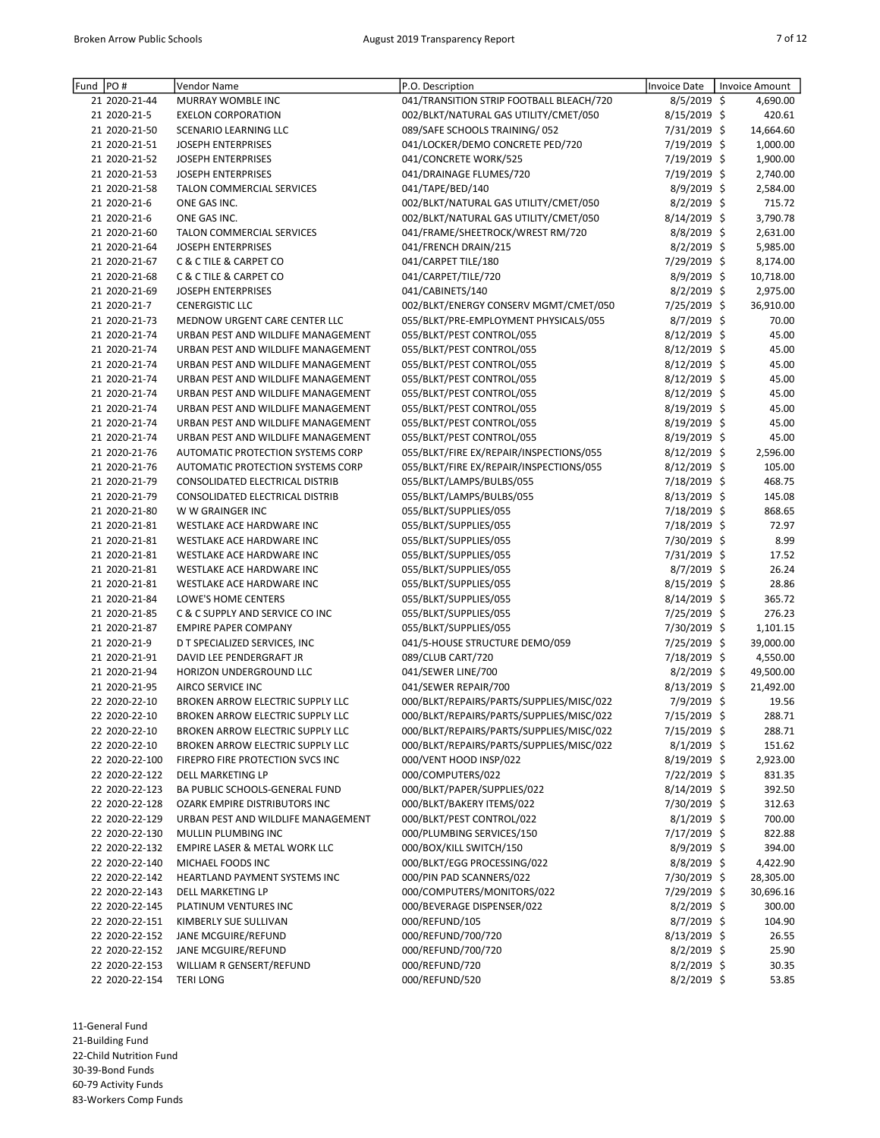| Fund | PO#            | Vendor Name                              | P.O. Description                         | <b>Invoice Date</b> | <b>Invoice Amount</b> |
|------|----------------|------------------------------------------|------------------------------------------|---------------------|-----------------------|
|      | 21 2020-21-44  | MURRAY WOMBLE INC                        | 041/TRANSITION STRIP FOOTBALL BLEACH/720 | $8/5/2019$ \$       | 4,690.00              |
|      | 21 2020-21-5   | <b>EXELON CORPORATION</b>                | 002/BLKT/NATURAL GAS UTILITY/CMET/050    | 8/15/2019 \$        | 420.61                |
|      | 21 2020-21-50  | <b>SCENARIO LEARNING LLC</b>             | 089/SAFE SCHOOLS TRAINING/052            | 7/31/2019 \$        | 14,664.60             |
|      | 21 2020-21-51  | <b>JOSEPH ENTERPRISES</b>                | 041/LOCKER/DEMO CONCRETE PED/720         | 7/19/2019 \$        | 1,000.00              |
|      | 21 2020-21-52  | <b>JOSEPH ENTERPRISES</b>                | 041/CONCRETE WORK/525                    | 7/19/2019 \$        | 1,900.00              |
|      | 21 2020-21-53  | <b>JOSEPH ENTERPRISES</b>                | 041/DRAINAGE FLUMES/720                  | 7/19/2019 \$        | 2,740.00              |
|      | 21 2020-21-58  | TALON COMMERCIAL SERVICES                | 041/TAPE/BED/140                         | 8/9/2019 \$         | 2,584.00              |
|      | 21 2020-21-6   | ONE GAS INC.                             | 002/BLKT/NATURAL GAS UTILITY/CMET/050    | 8/2/2019 \$         | 715.72                |
|      | 21 2020-21-6   | ONE GAS INC.                             | 002/BLKT/NATURAL GAS UTILITY/CMET/050    | 8/14/2019 \$        | 3,790.78              |
|      | 21 2020-21-60  | <b>TALON COMMERCIAL SERVICES</b>         | 041/FRAME/SHEETROCK/WREST RM/720         | 8/8/2019 \$         | 2,631.00              |
|      | 21 2020-21-64  | <b>JOSEPH ENTERPRISES</b>                | 041/FRENCH DRAIN/215                     | $8/2/2019$ \$       | 5,985.00              |
|      | 21 2020-21-67  | <b>C &amp; C TILE &amp; CARPET CO</b>    | 041/CARPET TILE/180                      | 7/29/2019 \$        | 8,174.00              |
|      | 21 2020-21-68  | C & C TILE & CARPET CO                   | 041/CARPET/TILE/720                      | 8/9/2019 \$         | 10,718.00             |
|      | 21 2020-21-69  | <b>JOSEPH ENTERPRISES</b>                | 041/CABINETS/140                         | $8/2/2019$ \$       | 2,975.00              |
|      | 21 2020-21-7   | <b>CENERGISTIC LLC</b>                   |                                          |                     |                       |
|      |                |                                          | 002/BLKT/ENERGY CONSERV MGMT/CMET/050    | 7/25/2019 \$        | 36,910.00             |
|      | 21 2020-21-73  | MEDNOW URGENT CARE CENTER LLC            | 055/BLKT/PRE-EMPLOYMENT PHYSICALS/055    | 8/7/2019 \$         | 70.00                 |
|      | 21 2020-21-74  | URBAN PEST AND WILDLIFE MANAGEMENT       | 055/BLKT/PEST CONTROL/055                | $8/12/2019$ \$      | 45.00                 |
|      | 21 2020-21-74  | URBAN PEST AND WILDLIFE MANAGEMENT       | 055/BLKT/PEST CONTROL/055                | 8/12/2019 \$        | 45.00                 |
|      | 21 2020-21-74  | URBAN PEST AND WILDLIFE MANAGEMENT       | 055/BLKT/PEST CONTROL/055                | $8/12/2019$ \$      | 45.00                 |
|      | 21 2020-21-74  | URBAN PEST AND WILDLIFE MANAGEMENT       | 055/BLKT/PEST CONTROL/055                | 8/12/2019 \$        | 45.00                 |
|      | 21 2020-21-74  | URBAN PEST AND WILDLIFE MANAGEMENT       | 055/BLKT/PEST CONTROL/055                | $8/12/2019$ \$      | 45.00                 |
|      | 21 2020-21-74  | URBAN PEST AND WILDLIFE MANAGEMENT       | 055/BLKT/PEST CONTROL/055                | 8/19/2019 \$        | 45.00                 |
|      | 21 2020-21-74  | URBAN PEST AND WILDLIFE MANAGEMENT       | 055/BLKT/PEST CONTROL/055                | 8/19/2019 \$        | 45.00                 |
|      | 21 2020-21-74  | URBAN PEST AND WILDLIFE MANAGEMENT       | 055/BLKT/PEST CONTROL/055                | 8/19/2019 \$        | 45.00                 |
|      | 21 2020-21-76  | AUTOMATIC PROTECTION SYSTEMS CORP        | 055/BLKT/FIRE EX/REPAIR/INSPECTIONS/055  | $8/12/2019$ \$      | 2,596.00              |
|      | 21 2020-21-76  | AUTOMATIC PROTECTION SYSTEMS CORP        | 055/BLKT/FIRE EX/REPAIR/INSPECTIONS/055  | $8/12/2019$ \$      | 105.00                |
|      | 21 2020-21-79  | CONSOLIDATED ELECTRICAL DISTRIB          | 055/BLKT/LAMPS/BULBS/055                 | 7/18/2019 \$        | 468.75                |
|      | 21 2020-21-79  | CONSOLIDATED ELECTRICAL DISTRIB          | 055/BLKT/LAMPS/BULBS/055                 | 8/13/2019 \$        | 145.08                |
|      | 21 2020-21-80  | W W GRAINGER INC                         | 055/BLKT/SUPPLIES/055                    | 7/18/2019 \$        | 868.65                |
|      | 21 2020-21-81  | WESTLAKE ACE HARDWARE INC                | 055/BLKT/SUPPLIES/055                    | 7/18/2019 \$        | 72.97                 |
|      | 21 2020-21-81  | WESTLAKE ACE HARDWARE INC                | 055/BLKT/SUPPLIES/055                    | 7/30/2019 \$        | 8.99                  |
|      | 21 2020-21-81  | WESTLAKE ACE HARDWARE INC                | 055/BLKT/SUPPLIES/055                    | 7/31/2019 \$        | 17.52                 |
|      | 21 2020-21-81  | WESTLAKE ACE HARDWARE INC                | 055/BLKT/SUPPLIES/055                    | 8/7/2019 \$         | 26.24                 |
|      | 21 2020-21-81  | WESTLAKE ACE HARDWARE INC                | 055/BLKT/SUPPLIES/055                    | 8/15/2019 \$        | 28.86                 |
|      | 21 2020-21-84  | LOWE'S HOME CENTERS                      | 055/BLKT/SUPPLIES/055                    | $8/14/2019$ \$      | 365.72                |
|      | 21 2020-21-85  | C & C SUPPLY AND SERVICE CO INC          | 055/BLKT/SUPPLIES/055                    | 7/25/2019 \$        | 276.23                |
|      | 21 2020-21-87  | <b>EMPIRE PAPER COMPANY</b>              | 055/BLKT/SUPPLIES/055                    | 7/30/2019 \$        | 1,101.15              |
|      | 21 2020-21-9   | D T SPECIALIZED SERVICES, INC            | 041/5-HOUSE STRUCTURE DEMO/059           | 7/25/2019 \$        | 39,000.00             |
|      | 21 2020-21-91  | DAVID LEE PENDERGRAFT JR                 | 089/CLUB CART/720                        | 7/18/2019 \$        | 4,550.00              |
|      | 21 2020-21-94  | HORIZON UNDERGROUND LLC                  | 041/SEWER LINE/700                       |                     | 49,500.00             |
|      |                |                                          |                                          | $8/2/2019$ \$       |                       |
|      | 21 2020-21-95  | AIRCO SERVICE INC                        | 041/SEWER REPAIR/700                     | $8/13/2019$ \$      | 21,492.00             |
|      | 22 2020-22-10  | BROKEN ARROW ELECTRIC SUPPLY LLC         | 000/BLKT/REPAIRS/PARTS/SUPPLIES/MISC/022 | 7/9/2019 \$         | 19.56                 |
|      | 22 2020-22-10  | BROKEN ARROW ELECTRIC SUPPLY LLC         | 000/BLKT/REPAIRS/PARTS/SUPPLIES/MISC/022 | 7/15/2019 \$        | 288.71                |
|      | 22 2020-22-10  | <b>BROKEN ARROW ELECTRIC SUPPLY LLC</b>  | 000/BLKT/REPAIRS/PARTS/SUPPLIES/MISC/022 | 7/15/2019 \$        | 288.71                |
|      | 22 2020-22-10  | BROKEN ARROW ELECTRIC SUPPLY LLC         | 000/BLKT/REPAIRS/PARTS/SUPPLIES/MISC/022 | $8/1/2019$ \$       | 151.62                |
|      | 22 2020-22-100 | FIREPRO FIRE PROTECTION SVCS INC         | 000/VENT HOOD INSP/022                   | $8/19/2019$ \$      | 2,923.00              |
|      | 22 2020-22-122 | DELL MARKETING LP                        | 000/COMPUTERS/022                        | 7/22/2019 \$        | 831.35                |
|      | 22 2020-22-123 | BA PUBLIC SCHOOLS-GENERAL FUND           | 000/BLKT/PAPER/SUPPLIES/022              | 8/14/2019 \$        | 392.50                |
|      | 22 2020-22-128 | OZARK EMPIRE DISTRIBUTORS INC            | 000/BLKT/BAKERY ITEMS/022                | 7/30/2019 \$        | 312.63                |
|      | 22 2020-22-129 | URBAN PEST AND WILDLIFE MANAGEMENT       | 000/BLKT/PEST CONTROL/022                | $8/1/2019$ \$       | 700.00                |
|      | 22 2020-22-130 | MULLIN PLUMBING INC                      | 000/PLUMBING SERVICES/150                | 7/17/2019 \$        | 822.88                |
|      | 22 2020-22-132 | <b>EMPIRE LASER &amp; METAL WORK LLC</b> | 000/BOX/KILL SWITCH/150                  | $8/9/2019$ \$       | 394.00                |
|      | 22 2020-22-140 | MICHAEL FOODS INC                        | 000/BLKT/EGG PROCESSING/022              | 8/8/2019 \$         | 4,422.90              |
|      | 22 2020-22-142 | HEARTLAND PAYMENT SYSTEMS INC            | 000/PIN PAD SCANNERS/022                 | 7/30/2019 \$        | 28,305.00             |
|      | 22 2020-22-143 | DELL MARKETING LP                        | 000/COMPUTERS/MONITORS/022               | 7/29/2019 \$        | 30,696.16             |
|      | 22 2020-22-145 | PLATINUM VENTURES INC                    | 000/BEVERAGE DISPENSER/022               | $8/2/2019$ \$       | 300.00                |
|      | 22 2020-22-151 | KIMBERLY SUE SULLIVAN                    | 000/REFUND/105                           | 8/7/2019 \$         | 104.90                |
|      | 22 2020-22-152 | JANE MCGUIRE/REFUND                      | 000/REFUND/700/720                       | 8/13/2019 \$        | 26.55                 |
|      | 22 2020-22-152 | JANE MCGUIRE/REFUND                      | 000/REFUND/700/720                       | $8/2/2019$ \$       | 25.90                 |
|      | 22 2020-22-153 | WILLIAM R GENSERT/REFUND                 | 000/REFUND/720                           | 8/2/2019 \$         | 30.35                 |
|      | 22 2020-22-154 | <b>TERI LONG</b>                         | 000/REFUND/520                           | 8/2/2019 \$         | 53.85                 |
|      |                |                                          |                                          |                     |                       |

11-General Fund 21-Building Fund 22-Child Nutrition Fund

30-39-Bond Funds

60-79 Activity Funds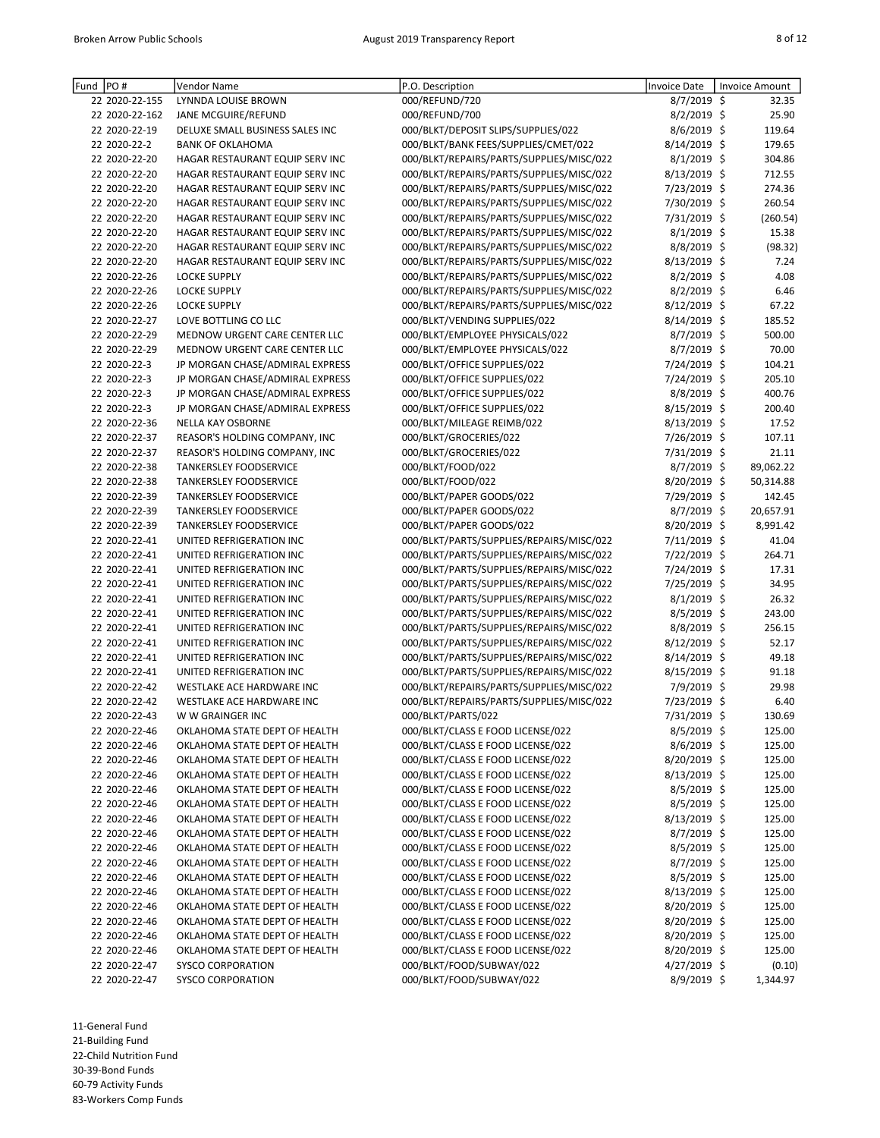| Fund | PO#            | Vendor Name                                                    | P.O. Description                                                       | <b>Invoice Date</b>          | <b>Invoice Amount</b> |
|------|----------------|----------------------------------------------------------------|------------------------------------------------------------------------|------------------------------|-----------------------|
|      | 22 2020-22-155 | LYNNDA LOUISE BROWN                                            | 000/REFUND/720                                                         | 8/7/2019 \$                  | 32.35                 |
|      | 22 2020-22-162 | JANE MCGUIRE/REFUND                                            | 000/REFUND/700                                                         | 8/2/2019 \$                  | 25.90                 |
|      | 22 2020-22-19  | DELUXE SMALL BUSINESS SALES INC                                | 000/BLKT/DEPOSIT SLIPS/SUPPLIES/022                                    | 8/6/2019 \$                  | 119.64                |
|      | 22 2020-22-2   | <b>BANK OF OKLAHOMA</b>                                        | 000/BLKT/BANK FEES/SUPPLIES/CMET/022                                   | 8/14/2019 \$                 | 179.65                |
|      | 22 2020-22-20  | HAGAR RESTAURANT EQUIP SERV INC                                | 000/BLKT/REPAIRS/PARTS/SUPPLIES/MISC/022                               | 8/1/2019 \$                  | 304.86                |
|      | 22 2020-22-20  | HAGAR RESTAURANT EQUIP SERV INC                                | 000/BLKT/REPAIRS/PARTS/SUPPLIES/MISC/022                               | 8/13/2019 \$                 | 712.55                |
|      | 22 2020-22-20  | HAGAR RESTAURANT EQUIP SERV INC                                | 000/BLKT/REPAIRS/PARTS/SUPPLIES/MISC/022                               | 7/23/2019 \$                 | 274.36                |
|      | 22 2020-22-20  | HAGAR RESTAURANT EQUIP SERV INC                                | 000/BLKT/REPAIRS/PARTS/SUPPLIES/MISC/022                               | 7/30/2019 \$                 | 260.54                |
|      | 22 2020-22-20  | HAGAR RESTAURANT EQUIP SERV INC                                | 000/BLKT/REPAIRS/PARTS/SUPPLIES/MISC/022                               | 7/31/2019 \$                 | (260.54)              |
|      | 22 2020-22-20  | HAGAR RESTAURANT EQUIP SERV INC                                | 000/BLKT/REPAIRS/PARTS/SUPPLIES/MISC/022                               | $8/1/2019$ \$                | 15.38                 |
|      | 22 2020-22-20  | HAGAR RESTAURANT EQUIP SERV INC                                | 000/BLKT/REPAIRS/PARTS/SUPPLIES/MISC/022                               | 8/8/2019 \$                  | (98.32)               |
|      | 22 2020-22-20  | HAGAR RESTAURANT EQUIP SERV INC                                | 000/BLKT/REPAIRS/PARTS/SUPPLIES/MISC/022                               | 8/13/2019 \$                 | 7.24                  |
|      | 22 2020-22-26  | <b>LOCKE SUPPLY</b>                                            | 000/BLKT/REPAIRS/PARTS/SUPPLIES/MISC/022                               | $8/2/2019$ \$                | 4.08                  |
|      | 22 2020-22-26  | <b>LOCKE SUPPLY</b>                                            | 000/BLKT/REPAIRS/PARTS/SUPPLIES/MISC/022                               | $8/2/2019$ \$                | 6.46                  |
|      | 22 2020-22-26  | <b>LOCKE SUPPLY</b>                                            | 000/BLKT/REPAIRS/PARTS/SUPPLIES/MISC/022                               | 8/12/2019 \$                 | 67.22                 |
|      | 22 2020-22-27  | LOVE BOTTLING CO LLC                                           | 000/BLKT/VENDING SUPPLIES/022                                          | 8/14/2019 \$                 | 185.52                |
|      | 22 2020-22-29  | MEDNOW URGENT CARE CENTER LLC                                  | 000/BLKT/EMPLOYEE PHYSICALS/022                                        | $8/7/2019$ \$                | 500.00                |
|      | 22 2020-22-29  | MEDNOW URGENT CARE CENTER LLC                                  | 000/BLKT/EMPLOYEE PHYSICALS/022                                        | $8/7/2019$ \$                | 70.00                 |
|      | 22 2020-22-3   | JP MORGAN CHASE/ADMIRAL EXPRESS                                | 000/BLKT/OFFICE SUPPLIES/022                                           | 7/24/2019 \$                 | 104.21                |
|      | 22 2020-22-3   | JP MORGAN CHASE/ADMIRAL EXPRESS                                | 000/BLKT/OFFICE SUPPLIES/022                                           | 7/24/2019 \$                 | 205.10                |
|      | 22 2020-22-3   | JP MORGAN CHASE/ADMIRAL EXPRESS                                | 000/BLKT/OFFICE SUPPLIES/022                                           | 8/8/2019 \$                  | 400.76                |
|      | 22 2020-22-3   | JP MORGAN CHASE/ADMIRAL EXPRESS                                | 000/BLKT/OFFICE SUPPLIES/022                                           | 8/15/2019 \$                 | 200.40                |
|      | 22 2020-22-36  | <b>NELLA KAY OSBORNE</b>                                       | 000/BLKT/MILEAGE REIMB/022                                             | 8/13/2019 \$                 | 17.52                 |
|      | 22 2020-22-37  | REASOR'S HOLDING COMPANY, INC                                  | 000/BLKT/GROCERIES/022                                                 | 7/26/2019 \$                 | 107.11                |
|      | 22 2020-22-37  | REASOR'S HOLDING COMPANY, INC                                  | 000/BLKT/GROCERIES/022                                                 | 7/31/2019 \$                 | 21.11                 |
|      | 22 2020-22-38  | <b>TANKERSLEY FOODSERVICE</b>                                  | 000/BLKT/FOOD/022                                                      | 8/7/2019 \$                  | 89,062.22             |
|      | 22 2020-22-38  | TANKERSLEY FOODSERVICE                                         | 000/BLKT/FOOD/022                                                      | 8/20/2019 \$                 | 50,314.88             |
|      | 22 2020-22-39  | TANKERSLEY FOODSERVICE                                         | 000/BLKT/PAPER GOODS/022                                               | 7/29/2019 \$                 | 142.45                |
|      | 22 2020-22-39  | TANKERSLEY FOODSERVICE                                         | 000/BLKT/PAPER GOODS/022                                               | 8/7/2019 \$                  | 20,657.91             |
|      | 22 2020-22-39  | TANKERSLEY FOODSERVICE                                         | 000/BLKT/PAPER GOODS/022                                               | 8/20/2019 \$                 | 8,991.42              |
|      | 22 2020-22-41  | UNITED REFRIGERATION INC                                       | 000/BLKT/PARTS/SUPPLIES/REPAIRS/MISC/022                               | 7/11/2019 \$                 | 41.04                 |
|      | 22 2020-22-41  | UNITED REFRIGERATION INC                                       | 000/BLKT/PARTS/SUPPLIES/REPAIRS/MISC/022                               | 7/22/2019 \$                 | 264.71                |
|      | 22 2020-22-41  | UNITED REFRIGERATION INC                                       | 000/BLKT/PARTS/SUPPLIES/REPAIRS/MISC/022                               | 7/24/2019 \$                 | 17.31                 |
|      | 22 2020-22-41  | UNITED REFRIGERATION INC                                       | 000/BLKT/PARTS/SUPPLIES/REPAIRS/MISC/022                               | 7/25/2019 \$                 | 34.95                 |
|      | 22 2020-22-41  | UNITED REFRIGERATION INC                                       | 000/BLKT/PARTS/SUPPLIES/REPAIRS/MISC/022                               | $8/1/2019$ \$                | 26.32                 |
|      | 22 2020-22-41  | UNITED REFRIGERATION INC                                       | 000/BLKT/PARTS/SUPPLIES/REPAIRS/MISC/022                               | 8/5/2019 \$                  | 243.00                |
|      | 22 2020-22-41  | UNITED REFRIGERATION INC                                       | 000/BLKT/PARTS/SUPPLIES/REPAIRS/MISC/022                               | 8/8/2019 \$                  | 256.15                |
|      | 22 2020-22-41  | UNITED REFRIGERATION INC                                       | 000/BLKT/PARTS/SUPPLIES/REPAIRS/MISC/022                               | 8/12/2019 \$                 | 52.17                 |
|      | 22 2020-22-41  | UNITED REFRIGERATION INC                                       | 000/BLKT/PARTS/SUPPLIES/REPAIRS/MISC/022                               | 8/14/2019 \$                 | 49.18                 |
|      | 22 2020-22-41  | UNITED REFRIGERATION INC                                       | 000/BLKT/PARTS/SUPPLIES/REPAIRS/MISC/022                               | 8/15/2019 \$                 | 91.18                 |
|      | 22 2020-22-42  | WESTLAKE ACE HARDWARE INC                                      | 000/BLKT/REPAIRS/PARTS/SUPPLIES/MISC/022                               | 7/9/2019 \$                  | 29.98                 |
|      | 22 2020-22-42  | WESTLAKE ACE HARDWARE INC                                      | 000/BLKT/REPAIRS/PARTS/SUPPLIES/MISC/022                               | 7/23/2019 \$                 | 6.40                  |
|      | 22 2020-22-43  | W W GRAINGER INC                                               | 000/BLKT/PARTS/022                                                     | 7/31/2019 \$                 | 130.69                |
|      | 22 2020-22-46  | OKLAHOMA STATE DEPT OF HEALTH                                  | 000/BLKT/CLASS E FOOD LICENSE/022                                      | 8/5/2019 \$                  | 125.00                |
|      | 22 2020-22-46  | OKLAHOMA STATE DEPT OF HEALTH                                  | 000/BLKT/CLASS E FOOD LICENSE/022                                      | 8/6/2019 \$                  | 125.00                |
|      | 22 2020-22-46  | OKLAHOMA STATE DEPT OF HEALTH                                  | 000/BLKT/CLASS E FOOD LICENSE/022                                      | 8/20/2019 \$                 | 125.00                |
|      | 22 2020-22-46  | OKLAHOMA STATE DEPT OF HEALTH                                  | 000/BLKT/CLASS E FOOD LICENSE/022                                      | 8/13/2019 \$                 | 125.00                |
|      | 22 2020-22-46  | OKLAHOMA STATE DEPT OF HEALTH                                  | 000/BLKT/CLASS E FOOD LICENSE/022                                      | 8/5/2019 \$                  | 125.00                |
|      | 22 2020-22-46  | OKLAHOMA STATE DEPT OF HEALTH                                  | 000/BLKT/CLASS E FOOD LICENSE/022                                      | 8/5/2019 \$                  | 125.00                |
|      | 22 2020-22-46  | OKLAHOMA STATE DEPT OF HEALTH                                  | 000/BLKT/CLASS E FOOD LICENSE/022                                      | $8/13/2019$ \$               | 125.00                |
|      | 22 2020-22-46  | OKLAHOMA STATE DEPT OF HEALTH                                  | 000/BLKT/CLASS E FOOD LICENSE/022                                      | 8/7/2019 \$                  | 125.00                |
|      | 22 2020-22-46  | OKLAHOMA STATE DEPT OF HEALTH                                  | 000/BLKT/CLASS E FOOD LICENSE/022                                      | 8/5/2019 \$                  | 125.00                |
|      | 22 2020-22-46  | OKLAHOMA STATE DEPT OF HEALTH                                  | 000/BLKT/CLASS E FOOD LICENSE/022                                      | $8/7/2019$ \$                | 125.00                |
|      | 22 2020-22-46  | OKLAHOMA STATE DEPT OF HEALTH                                  | 000/BLKT/CLASS E FOOD LICENSE/022                                      | 8/5/2019 \$                  | 125.00                |
|      |                |                                                                |                                                                        |                              |                       |
|      | 22 2020-22-46  | OKLAHOMA STATE DEPT OF HEALTH                                  | 000/BLKT/CLASS E FOOD LICENSE/022                                      | 8/13/2019 \$                 | 125.00                |
|      | 22 2020-22-46  | OKLAHOMA STATE DEPT OF HEALTH<br>OKLAHOMA STATE DEPT OF HEALTH | 000/BLKT/CLASS E FOOD LICENSE/022<br>000/BLKT/CLASS E FOOD LICENSE/022 | 8/20/2019 \$<br>8/20/2019 \$ | 125.00                |
|      | 22 2020-22-46  |                                                                |                                                                        |                              | 125.00                |
|      | 22 2020-22-46  | OKLAHOMA STATE DEPT OF HEALTH                                  | 000/BLKT/CLASS E FOOD LICENSE/022                                      | 8/20/2019 \$                 | 125.00                |
|      | 22 2020-22-46  | OKLAHOMA STATE DEPT OF HEALTH                                  | 000/BLKT/CLASS E FOOD LICENSE/022                                      | $8/20/2019$ \$               | 125.00                |
|      | 22 2020-22-47  | <b>SYSCO CORPORATION</b>                                       | 000/BLKT/FOOD/SUBWAY/022                                               | 4/27/2019 \$                 | (0.10)                |
|      | 22 2020-22-47  | <b>SYSCO CORPORATION</b>                                       | 000/BLKT/FOOD/SUBWAY/022                                               | 8/9/2019 \$                  | 1,344.97              |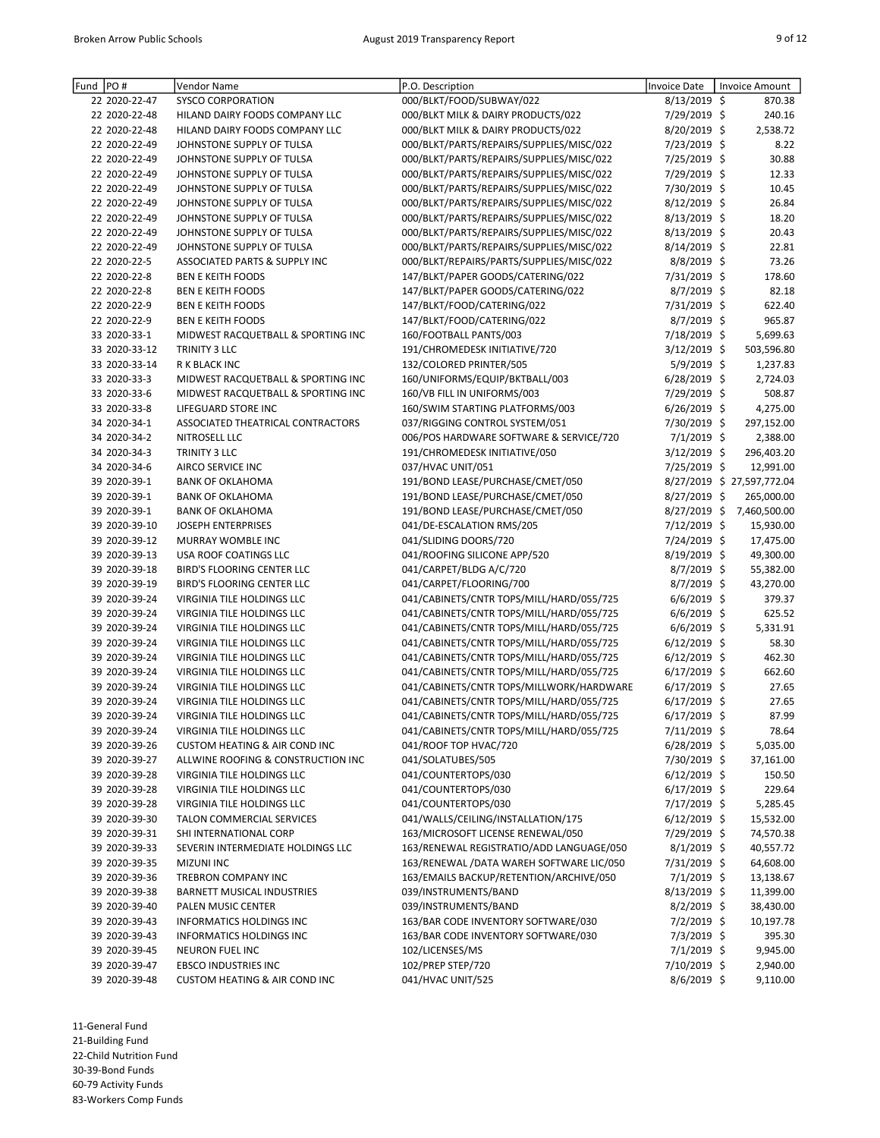| Fund | PO#           | Vendor Name                              | P.O. Description                         | Invoice Date   | <b>Invoice Amount</b>      |
|------|---------------|------------------------------------------|------------------------------------------|----------------|----------------------------|
|      | 22 2020-22-47 | <b>SYSCO CORPORATION</b>                 | 000/BLKT/FOOD/SUBWAY/022                 | $8/13/2019$ \$ | 870.38                     |
|      | 22 2020-22-48 | HILAND DAIRY FOODS COMPANY LLC           | 000/BLKT MILK & DAIRY PRODUCTS/022       | 7/29/2019 \$   | 240.16                     |
|      | 22 2020-22-48 | HILAND DAIRY FOODS COMPANY LLC           | 000/BLKT MILK & DAIRY PRODUCTS/022       | 8/20/2019 \$   | 2,538.72                   |
|      | 22 2020-22-49 | JOHNSTONE SUPPLY OF TULSA                | 000/BLKT/PARTS/REPAIRS/SUPPLIES/MISC/022 | 7/23/2019 \$   | 8.22                       |
|      | 22 2020-22-49 | JOHNSTONE SUPPLY OF TULSA                | 000/BLKT/PARTS/REPAIRS/SUPPLIES/MISC/022 | 7/25/2019 \$   | 30.88                      |
|      | 22 2020-22-49 | JOHNSTONE SUPPLY OF TULSA                | 000/BLKT/PARTS/REPAIRS/SUPPLIES/MISC/022 | 7/29/2019 \$   | 12.33                      |
|      | 22 2020-22-49 | JOHNSTONE SUPPLY OF TULSA                | 000/BLKT/PARTS/REPAIRS/SUPPLIES/MISC/022 | 7/30/2019 \$   | 10.45                      |
|      | 22 2020-22-49 | JOHNSTONE SUPPLY OF TULSA                | 000/BLKT/PARTS/REPAIRS/SUPPLIES/MISC/022 | $8/12/2019$ \$ | 26.84                      |
|      | 22 2020-22-49 | JOHNSTONE SUPPLY OF TULSA                | 000/BLKT/PARTS/REPAIRS/SUPPLIES/MISC/022 | 8/13/2019 \$   | 18.20                      |
|      | 22 2020-22-49 | JOHNSTONE SUPPLY OF TULSA                | 000/BLKT/PARTS/REPAIRS/SUPPLIES/MISC/022 | $8/13/2019$ \$ | 20.43                      |
|      | 22 2020-22-49 | JOHNSTONE SUPPLY OF TULSA                | 000/BLKT/PARTS/REPAIRS/SUPPLIES/MISC/022 | 8/14/2019 \$   | 22.81                      |
|      | 22 2020-22-5  | ASSOCIATED PARTS & SUPPLY INC            | 000/BLKT/REPAIRS/PARTS/SUPPLIES/MISC/022 | 8/8/2019 \$    | 73.26                      |
|      | 22 2020-22-8  | <b>BEN E KEITH FOODS</b>                 | 147/BLKT/PAPER GOODS/CATERING/022        | 7/31/2019 \$   | 178.60                     |
|      | 22 2020-22-8  | <b>BEN E KEITH FOODS</b>                 | 147/BLKT/PAPER GOODS/CATERING/022        | 8/7/2019 \$    | 82.18                      |
|      | 22 2020-22-9  | <b>BEN E KEITH FOODS</b>                 | 147/BLKT/FOOD/CATERING/022               | 7/31/2019 \$   | 622.40                     |
|      | 22 2020-22-9  | <b>BEN E KEITH FOODS</b>                 | 147/BLKT/FOOD/CATERING/022               | $8/7/2019$ \$  | 965.87                     |
|      | 33 2020-33-1  | MIDWEST RACQUETBALL & SPORTING INC       | 160/FOOTBALL PANTS/003                   | 7/18/2019 \$   | 5,699.63                   |
|      | 33 2020-33-12 | TRINITY 3 LLC                            | 191/CHROMEDESK INITIATIVE/720            | $3/12/2019$ \$ | 503,596.80                 |
|      | 33 2020-33-14 | R K BLACK INC                            | 132/COLORED PRINTER/505                  | 5/9/2019 \$    | 1,237.83                   |
|      | 33 2020-33-3  | MIDWEST RACQUETBALL & SPORTING INC       | 160/UNIFORMS/EQUIP/BKTBALL/003           | 6/28/2019 \$   | 2,724.03                   |
|      | 33 2020-33-6  | MIDWEST RACQUETBALL & SPORTING INC       | 160/VB FILL IN UNIFORMS/003              | 7/29/2019 \$   | 508.87                     |
|      | 33 2020-33-8  | LIFEGUARD STORE INC                      | 160/SWIM STARTING PLATFORMS/003          | $6/26/2019$ \$ | 4,275.00                   |
|      | 34 2020-34-1  | ASSOCIATED THEATRICAL CONTRACTORS        | 037/RIGGING CONTROL SYSTEM/051           | 7/30/2019 \$   | 297,152.00                 |
|      | 34 2020-34-2  | NITROSELL LLC                            | 006/POS HARDWARE SOFTWARE & SERVICE/720  | $7/1/2019$ \$  | 2,388.00                   |
|      | 34 2020-34-3  | TRINITY 3 LLC                            | 191/CHROMEDESK INITIATIVE/050            | $3/12/2019$ \$ | 296,403.20                 |
|      | 34 2020-34-6  | AIRCO SERVICE INC                        | 037/HVAC UNIT/051                        | 7/25/2019 \$   | 12,991.00                  |
|      | 39 2020-39-1  | <b>BANK OF OKLAHOMA</b>                  | 191/BOND LEASE/PURCHASE/CMET/050         |                | 8/27/2019 \$ 27,597,772.04 |
|      | 39 2020-39-1  | <b>BANK OF OKLAHOMA</b>                  | 191/BOND LEASE/PURCHASE/CMET/050         | 8/27/2019 \$   | 265,000.00                 |
|      | 39 2020-39-1  | <b>BANK OF OKLAHOMA</b>                  | 191/BOND LEASE/PURCHASE/CMET/050         | 8/27/2019 \$   | 7,460,500.00               |
|      | 39 2020-39-10 | JOSEPH ENTERPRISES                       | 041/DE-ESCALATION RMS/205                | 7/12/2019 \$   | 15,930.00                  |
|      | 39 2020-39-12 | MURRAY WOMBLE INC                        | 041/SLIDING DOORS/720                    | 7/24/2019 \$   | 17,475.00                  |
|      | 39 2020-39-13 | USA ROOF COATINGS LLC                    | 041/ROOFING SILICONE APP/520             | 8/19/2019 \$   | 49,300.00                  |
|      | 39 2020-39-18 | <b>BIRD'S FLOORING CENTER LLC</b>        | 041/CARPET/BLDG A/C/720                  | $8/7/2019$ \$  | 55,382.00                  |
|      | 39 2020-39-19 | BIRD'S FLOORING CENTER LLC               | 041/CARPET/FLOORING/700                  | $8/7/2019$ \$  | 43,270.00                  |
|      | 39 2020-39-24 | VIRGINIA TILE HOLDINGS LLC               | 041/CABINETS/CNTR TOPS/MILL/HARD/055/725 | $6/6/2019$ \$  | 379.37                     |
|      | 39 2020-39-24 | VIRGINIA TILE HOLDINGS LLC               | 041/CABINETS/CNTR TOPS/MILL/HARD/055/725 | $6/6/2019$ \$  | 625.52                     |
|      | 39 2020-39-24 | VIRGINIA TILE HOLDINGS LLC               | 041/CABINETS/CNTR TOPS/MILL/HARD/055/725 | $6/6/2019$ \$  | 5,331.91                   |
|      | 39 2020-39-24 | VIRGINIA TILE HOLDINGS LLC               | 041/CABINETS/CNTR TOPS/MILL/HARD/055/725 | $6/12/2019$ \$ | 58.30                      |
|      | 39 2020-39-24 | VIRGINIA TILE HOLDINGS LLC               | 041/CABINETS/CNTR TOPS/MILL/HARD/055/725 | $6/12/2019$ \$ | 462.30                     |
|      | 39 2020-39-24 | VIRGINIA TILE HOLDINGS LLC               | 041/CABINETS/CNTR TOPS/MILL/HARD/055/725 | $6/17/2019$ \$ | 662.60                     |
|      | 39 2020-39-24 | VIRGINIA TILE HOLDINGS LLC               | 041/CABINETS/CNTR TOPS/MILLWORK/HARDWARE | $6/17/2019$ \$ | 27.65                      |
|      | 39 2020-39-24 | VIRGINIA TILE HOLDINGS LLC               | 041/CABINETS/CNTR TOPS/MILL/HARD/055/725 | $6/17/2019$ \$ | 27.65                      |
|      | 39 2020-39-24 | VIRGINIA TILE HOLDINGS LLC               | 041/CABINETS/CNTR TOPS/MILL/HARD/055/725 | 6/17/2019 \$   | 87.99                      |
|      | 39 2020-39-24 | VIRGINIA TILE HOLDINGS LLC               | 041/CABINETS/CNTR TOPS/MILL/HARD/055/725 | $7/11/2019$ \$ | 78.64                      |
|      | 39 2020-39-26 | <b>CUSTOM HEATING &amp; AIR COND INC</b> | 041/ROOF TOP HVAC/720                    | $6/28/2019$ \$ | 5,035.00                   |
|      | 39 2020-39-27 | ALLWINE ROOFING & CONSTRUCTION INC       | 041/SOLATUBES/505                        | 7/30/2019 \$   | 37,161.00                  |
|      | 39 2020-39-28 | VIRGINIA TILE HOLDINGS LLC               | 041/COUNTERTOPS/030                      | $6/12/2019$ \$ | 150.50                     |
|      | 39 2020-39-28 | VIRGINIA TILE HOLDINGS LLC               | 041/COUNTERTOPS/030                      | $6/17/2019$ \$ | 229.64                     |
|      | 39 2020-39-28 | VIRGINIA TILE HOLDINGS LLC               | 041/COUNTERTOPS/030                      | 7/17/2019 \$   | 5,285.45                   |
|      | 39 2020-39-30 | TALON COMMERCIAL SERVICES                | 041/WALLS/CEILING/INSTALLATION/175       | $6/12/2019$ \$ | 15,532.00                  |
|      | 39 2020-39-31 | SHI INTERNATIONAL CORP                   | 163/MICROSOFT LICENSE RENEWAL/050        | 7/29/2019 \$   | 74,570.38                  |
|      | 39 2020-39-33 | SEVERIN INTERMEDIATE HOLDINGS LLC        | 163/RENEWAL REGISTRATIO/ADD LANGUAGE/050 | $8/1/2019$ \$  | 40,557.72                  |
|      | 39 2020-39-35 | <b>MIZUNI INC</b>                        | 163/RENEWAL /DATA WAREH SOFTWARE LIC/050 | $7/31/2019$ \$ | 64,608.00                  |
|      | 39 2020-39-36 | TREBRON COMPANY INC                      | 163/EMAILS BACKUP/RETENTION/ARCHIVE/050  | 7/1/2019 \$    | 13,138.67                  |
|      | 39 2020-39-38 | <b>BARNETT MUSICAL INDUSTRIES</b>        | 039/INSTRUMENTS/BAND                     | $8/13/2019$ \$ | 11,399.00                  |
|      | 39 2020-39-40 | PALEN MUSIC CENTER                       | 039/INSTRUMENTS/BAND                     | $8/2/2019$ \$  | 38,430.00                  |
|      | 39 2020-39-43 | INFORMATICS HOLDINGS INC                 | 163/BAR CODE INVENTORY SOFTWARE/030      | $7/2/2019$ \$  | 10,197.78                  |
|      | 39 2020-39-43 | <b>INFORMATICS HOLDINGS INC</b>          | 163/BAR CODE INVENTORY SOFTWARE/030      | $7/3/2019$ \$  | 395.30                     |
|      | 39 2020-39-45 | NEURON FUEL INC                          | 102/LICENSES/MS                          | $7/1/2019$ \$  | 9,945.00                   |
|      | 39 2020-39-47 | <b>EBSCO INDUSTRIES INC</b>              | 102/PREP STEP/720                        | 7/10/2019 \$   | 2,940.00                   |
|      | 39 2020-39-48 | <b>CUSTOM HEATING &amp; AIR COND INC</b> | 041/HVAC UNIT/525                        | 8/6/2019 \$    | 9,110.00                   |

21-Building Fund

22-Child Nutrition Fund

30-39-Bond Funds

60-79 Activity Funds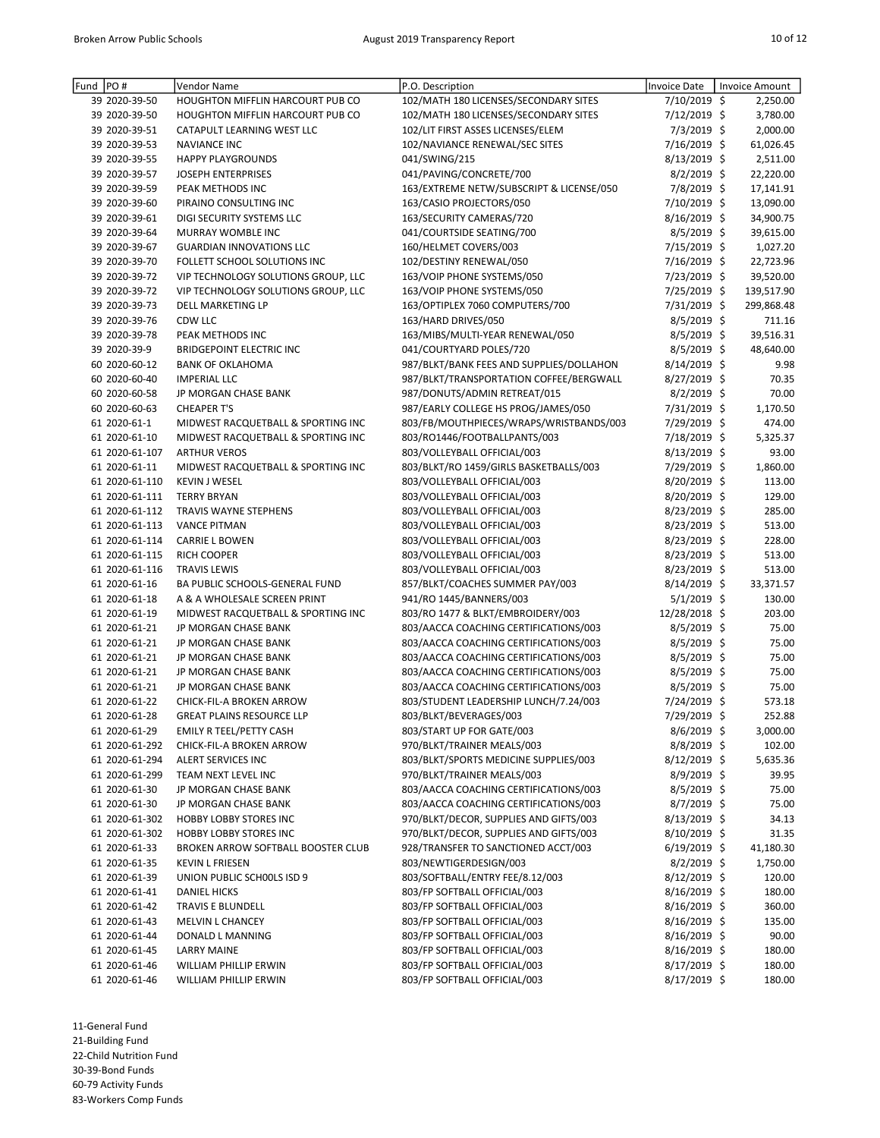| PO#<br>Fund |                | Vendor Name                             | P.O. Description                         | Invoice Date   | Invoice Amount |
|-------------|----------------|-----------------------------------------|------------------------------------------|----------------|----------------|
|             | 39 2020-39-50  | HOUGHTON MIFFLIN HARCOURT PUB CO        | 102/MATH 180 LICENSES/SECONDARY SITES    | 7/10/2019 \$   | 2,250.00       |
|             | 39 2020-39-50  | <b>HOUGHTON MIFFLIN HARCOURT PUB CO</b> | 102/MATH 180 LICENSES/SECONDARY SITES    | 7/12/2019 \$   | 3,780.00       |
|             | 39 2020-39-51  | CATAPULT LEARNING WEST LLC              | 102/LIT FIRST ASSES LICENSES/ELEM        | $7/3/2019$ \$  | 2,000.00       |
|             | 39 2020-39-53  | <b>NAVIANCE INC</b>                     | 102/NAVIANCE RENEWAL/SEC SITES           | 7/16/2019 \$   | 61,026.45      |
|             | 39 2020-39-55  | <b>HAPPY PLAYGROUNDS</b>                | 041/SWING/215                            | $8/13/2019$ \$ | 2,511.00       |
|             | 39 2020-39-57  | <b>JOSEPH ENTERPRISES</b>               | 041/PAVING/CONCRETE/700                  | $8/2/2019$ \$  | 22,220.00      |
|             | 39 2020-39-59  | PEAK METHODS INC                        | 163/EXTREME NETW/SUBSCRIPT & LICENSE/050 | 7/8/2019 \$    | 17,141.91      |
|             | 39 2020-39-60  | PIRAINO CONSULTING INC                  | 163/CASIO PROJECTORS/050                 | 7/10/2019 \$   | 13,090.00      |
|             | 39 2020-39-61  | DIGI SECURITY SYSTEMS LLC               | 163/SECURITY CAMERAS/720                 | 8/16/2019 \$   | 34,900.75      |
|             | 39 2020-39-64  | MURRAY WOMBLE INC                       | 041/COURTSIDE SEATING/700                | 8/5/2019 \$    | 39,615.00      |
|             | 39 2020-39-67  | <b>GUARDIAN INNOVATIONS LLC</b>         | 160/HELMET COVERS/003                    | 7/15/2019 \$   | 1,027.20       |
|             | 39 2020-39-70  | FOLLETT SCHOOL SOLUTIONS INC            | 102/DESTINY RENEWAL/050                  | 7/16/2019 \$   | 22,723.96      |
|             | 39 2020-39-72  | VIP TECHNOLOGY SOLUTIONS GROUP, LLC     | 163/VOIP PHONE SYSTEMS/050               | 7/23/2019 \$   | 39,520.00      |
|             | 39 2020-39-72  | VIP TECHNOLOGY SOLUTIONS GROUP, LLC     | 163/VOIP PHONE SYSTEMS/050               | 7/25/2019 \$   | 139,517.90     |
|             | 39 2020-39-73  | DELL MARKETING LP                       | 163/OPTIPLEX 7060 COMPUTERS/700          | 7/31/2019 \$   | 299,868.48     |
|             | 39 2020-39-76  | CDW LLC                                 | 163/HARD DRIVES/050                      | $8/5/2019$ \$  | 711.16         |
|             | 39 2020-39-78  | PEAK METHODS INC                        | 163/MIBS/MULTI-YEAR RENEWAL/050          | $8/5/2019$ \$  | 39,516.31      |
|             | 39 2020-39-9   | <b>BRIDGEPOINT ELECTRIC INC</b>         | 041/COURTYARD POLES/720                  | $8/5/2019$ \$  | 48,640.00      |
|             | 60 2020-60-12  | <b>BANK OF OKLAHOMA</b>                 | 987/BLKT/BANK FEES AND SUPPLIES/DOLLAHON | 8/14/2019 \$   | 9.98           |
|             | 60 2020-60-40  | <b>IMPERIAL LLC</b>                     | 987/BLKT/TRANSPORTATION COFFEE/BERGWALL  | 8/27/2019 \$   | 70.35          |
|             | 60 2020-60-58  | JP MORGAN CHASE BANK                    | 987/DONUTS/ADMIN RETREAT/015             | 8/2/2019 \$    | 70.00          |
|             | 60 2020-60-63  | <b>CHEAPER T'S</b>                      | 987/EARLY COLLEGE HS PROG/JAMES/050      | 7/31/2019 \$   | 1,170.50       |
|             | 61 2020-61-1   | MIDWEST RACQUETBALL & SPORTING INC      | 803/FB/MOUTHPIECES/WRAPS/WRISTBANDS/003  | 7/29/2019 \$   | 474.00         |
|             | 61 2020-61-10  | MIDWEST RACQUETBALL & SPORTING INC      | 803/RO1446/FOOTBALLPANTS/003             | 7/18/2019 \$   | 5,325.37       |
|             | 61 2020-61-107 | <b>ARTHUR VEROS</b>                     | 803/VOLLEYBALL OFFICIAL/003              | $8/13/2019$ \$ | 93.00          |
|             | 61 2020-61-11  | MIDWEST RACQUETBALL & SPORTING INC      | 803/BLKT/RO 1459/GIRLS BASKETBALLS/003   | 7/29/2019 \$   | 1,860.00       |
|             | 61 2020-61-110 | <b>KEVIN J WESEL</b>                    | 803/VOLLEYBALL OFFICIAL/003              | 8/20/2019 \$   | 113.00         |
|             | 61 2020-61-111 | <b>TERRY BRYAN</b>                      | 803/VOLLEYBALL OFFICIAL/003              | 8/20/2019 \$   | 129.00         |
|             | 61 2020-61-112 | TRAVIS WAYNE STEPHENS                   | 803/VOLLEYBALL OFFICIAL/003              | 8/23/2019 \$   | 285.00         |
|             | 61 2020-61-113 | <b>VANCE PITMAN</b>                     | 803/VOLLEYBALL OFFICIAL/003              | $8/23/2019$ \$ | 513.00         |
|             | 61 2020-61-114 | <b>CARRIE L BOWEN</b>                   | 803/VOLLEYBALL OFFICIAL/003              | 8/23/2019 \$   | 228.00         |
|             | 61 2020-61-115 | <b>RICH COOPER</b>                      | 803/VOLLEYBALL OFFICIAL/003              | 8/23/2019 \$   | 513.00         |
|             | 61 2020-61-116 | <b>TRAVIS LEWIS</b>                     | 803/VOLLEYBALL OFFICIAL/003              | 8/23/2019 \$   | 513.00         |
|             | 61 2020-61-16  | BA PUBLIC SCHOOLS-GENERAL FUND          | 857/BLKT/COACHES SUMMER PAY/003          | 8/14/2019 \$   | 33,371.57      |
|             | 61 2020-61-18  | A & A WHOLESALE SCREEN PRINT            | 941/RO 1445/BANNERS/003                  | 5/1/2019 \$    | 130.00         |
|             | 61 2020-61-19  | MIDWEST RACQUETBALL & SPORTING INC      | 803/RO 1477 & BLKT/EMBROIDERY/003        | 12/28/2018 \$  | 203.00         |
|             | 61 2020-61-21  | JP MORGAN CHASE BANK                    | 803/AACCA COACHING CERTIFICATIONS/003    | 8/5/2019 \$    | 75.00          |
|             | 61 2020-61-21  | JP MORGAN CHASE BANK                    | 803/AACCA COACHING CERTIFICATIONS/003    | $8/5/2019$ \$  | 75.00          |
|             | 61 2020-61-21  | JP MORGAN CHASE BANK                    | 803/AACCA COACHING CERTIFICATIONS/003    | $8/5/2019$ \$  | 75.00          |
|             | 61 2020-61-21  | JP MORGAN CHASE BANK                    | 803/AACCA COACHING CERTIFICATIONS/003    | 8/5/2019 \$    | 75.00          |
|             | 61 2020-61-21  | JP MORGAN CHASE BANK                    | 803/AACCA COACHING CERTIFICATIONS/003    | 8/5/2019 \$    | 75.00          |
|             | 61 2020-61-22  | CHICK-FIL-A BROKEN ARROW                | 803/STUDENT LEADERSHIP LUNCH/7.24/003    | 7/24/2019 \$   | 573.18         |
|             | 61 2020-61-28  | <b>GREAT PLAINS RESOURCE LLP</b>        | 803/BLKT/BEVERAGES/003                   | 7/29/2019 \$   | 252.88         |
|             | 61 2020-61-29  | EMILY R TEEL/PETTY CASH                 | 803/START UP FOR GATE/003                | $8/6/2019$ \$  | 3,000.00       |
|             | 61 2020-61-292 | CHICK-FIL-A BROKEN ARROW                | 970/BLKT/TRAINER MEALS/003               | $8/8/2019$ \$  | 102.00         |
|             | 61 2020-61-294 | ALERT SERVICES INC                      | 803/BLKT/SPORTS MEDICINE SUPPLIES/003    | 8/12/2019 \$   | 5,635.36       |
|             | 61 2020-61-299 | TEAM NEXT LEVEL INC                     | 970/BLKT/TRAINER MEALS/003               | 8/9/2019 \$    | 39.95          |
|             | 61 2020-61-30  | JP MORGAN CHASE BANK                    | 803/AACCA COACHING CERTIFICATIONS/003    | $8/5/2019$ \$  | 75.00          |
|             | 61 2020-61-30  | JP MORGAN CHASE BANK                    | 803/AACCA COACHING CERTIFICATIONS/003    | $8/7/2019$ \$  | 75.00          |
|             | 61 2020-61-302 | <b>HOBBY LOBBY STORES INC</b>           | 970/BLKT/DECOR, SUPPLIES AND GIFTS/003   | $8/13/2019$ \$ | 34.13          |
|             | 61 2020-61-302 | <b>HOBBY LOBBY STORES INC</b>           | 970/BLKT/DECOR, SUPPLIES AND GIFTS/003   | $8/10/2019$ \$ | 31.35          |
|             | 61 2020-61-33  | BROKEN ARROW SOFTBALL BOOSTER CLUB      | 928/TRANSFER TO SANCTIONED ACCT/003      | $6/19/2019$ \$ | 41,180.30      |
|             | 61 2020-61-35  | <b>KEVIN L FRIESEN</b>                  | 803/NEWTIGERDESIGN/003                   | $8/2/2019$ \$  | 1,750.00       |
|             | 61 2020-61-39  | UNION PUBLIC SCHOOLS ISD 9              | 803/SOFTBALL/ENTRY FEE/8.12/003          | $8/12/2019$ \$ | 120.00         |
|             | 61 2020-61-41  | <b>DANIEL HICKS</b>                     | 803/FP SOFTBALL OFFICIAL/003             | $8/16/2019$ \$ | 180.00         |
|             | 61 2020-61-42  | TRAVIS E BLUNDELL                       | 803/FP SOFTBALL OFFICIAL/003             | $8/16/2019$ \$ | 360.00         |
|             | 61 2020-61-43  | MELVIN L CHANCEY                        | 803/FP SOFTBALL OFFICIAL/003             | $8/16/2019$ \$ | 135.00         |
|             | 61 2020-61-44  | DONALD L MANNING                        | 803/FP SOFTBALL OFFICIAL/003             | $8/16/2019$ \$ | 90.00          |
|             | 61 2020-61-45  | LARRY MAINE                             | 803/FP SOFTBALL OFFICIAL/003             | $8/16/2019$ \$ | 180.00         |
|             | 61 2020-61-46  | WILLIAM PHILLIP ERWIN                   | 803/FP SOFTBALL OFFICIAL/003             | $8/17/2019$ \$ | 180.00         |
|             | 61 2020-61-46  | WILLIAM PHILLIP ERWIN                   | 803/FP SOFTBALL OFFICIAL/003             | 8/17/2019 \$   | 180.00         |

21-Building Fund 22-Child Nutrition Fund

30-39-Bond Funds

60-79 Activity Funds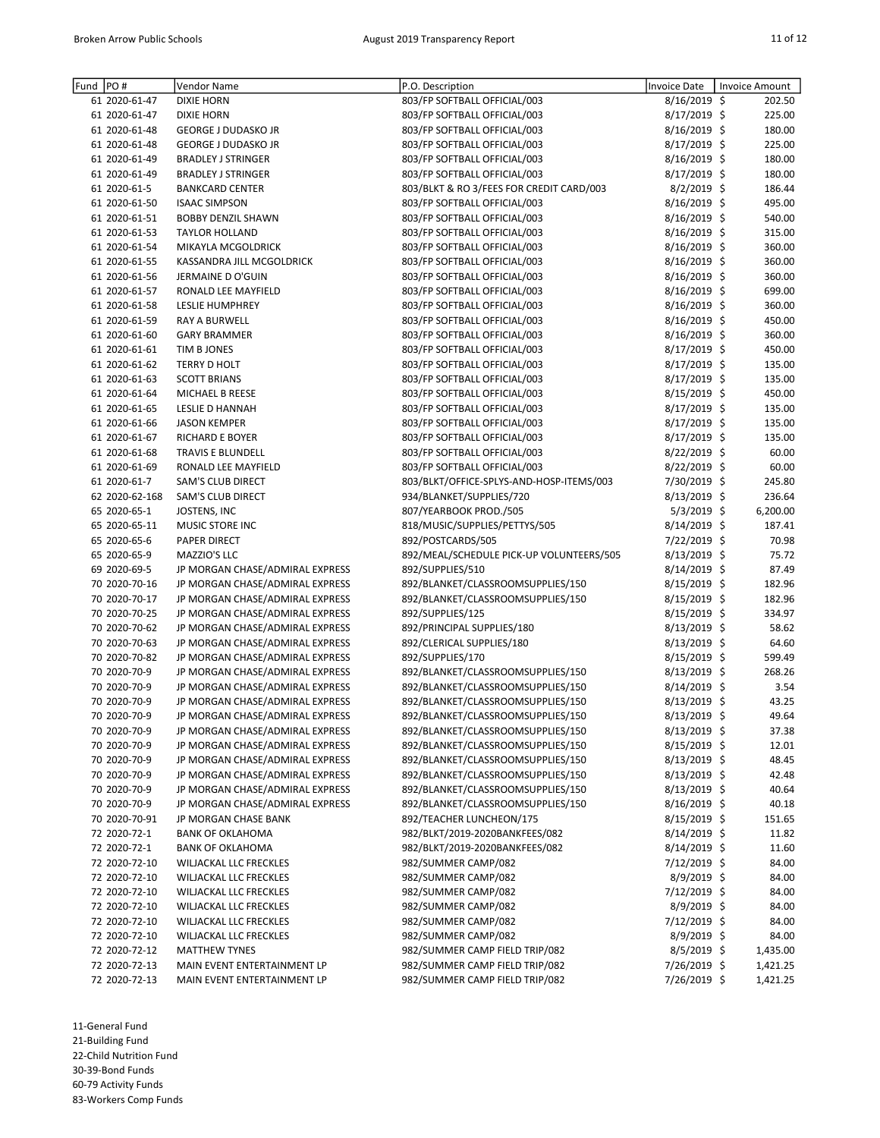| Fund PO# |                | Vendor Name                     | P.O. Description                         | <b>Invoice Date</b> | Invoice Amount |
|----------|----------------|---------------------------------|------------------------------------------|---------------------|----------------|
|          | 61 2020-61-47  | <b>DIXIE HORN</b>               | 803/FP SOFTBALL OFFICIAL/003             | 8/16/2019 \$        | 202.50         |
|          | 61 2020-61-47  | <b>DIXIE HORN</b>               | 803/FP SOFTBALL OFFICIAL/003             | 8/17/2019 \$        | 225.00         |
|          | 61 2020-61-48  | <b>GEORGE J DUDASKO JR</b>      | 803/FP SOFTBALL OFFICIAL/003             | 8/16/2019 \$        | 180.00         |
|          | 61 2020-61-48  | <b>GEORGE J DUDASKO JR</b>      | 803/FP SOFTBALL OFFICIAL/003             | 8/17/2019 \$        | 225.00         |
|          | 61 2020-61-49  | <b>BRADLEY J STRINGER</b>       | 803/FP SOFTBALL OFFICIAL/003             | 8/16/2019 \$        | 180.00         |
|          | 61 2020-61-49  | <b>BRADLEY J STRINGER</b>       | 803/FP SOFTBALL OFFICIAL/003             | 8/17/2019 \$        | 180.00         |
|          | 61 2020-61-5   | <b>BANKCARD CENTER</b>          | 803/BLKT & RO 3/FEES FOR CREDIT CARD/003 | $8/2/2019$ \$       | 186.44         |
|          | 61 2020-61-50  | <b>ISAAC SIMPSON</b>            | 803/FP SOFTBALL OFFICIAL/003             | 8/16/2019 \$        | 495.00         |
|          | 61 2020-61-51  | <b>BOBBY DENZIL SHAWN</b>       | 803/FP SOFTBALL OFFICIAL/003             | 8/16/2019 \$        | 540.00         |
|          | 61 2020-61-53  | <b>TAYLOR HOLLAND</b>           | 803/FP SOFTBALL OFFICIAL/003             | 8/16/2019 \$        | 315.00         |
|          | 61 2020-61-54  | MIKAYLA MCGOLDRICK              | 803/FP SOFTBALL OFFICIAL/003             | 8/16/2019 \$        | 360.00         |
|          | 61 2020-61-55  | KASSANDRA JILL MCGOLDRICK       | 803/FP SOFTBALL OFFICIAL/003             | 8/16/2019 \$        | 360.00         |
|          | 61 2020-61-56  | JERMAINE D O'GUIN               | 803/FP SOFTBALL OFFICIAL/003             | 8/16/2019 \$        | 360.00         |
|          | 61 2020-61-57  | RONALD LEE MAYFIELD             | 803/FP SOFTBALL OFFICIAL/003             | 8/16/2019 \$        | 699.00         |
|          | 61 2020-61-58  | <b>LESLIE HUMPHREY</b>          | 803/FP SOFTBALL OFFICIAL/003             | 8/16/2019 \$        | 360.00         |
|          | 61 2020-61-59  | <b>RAY A BURWELL</b>            | 803/FP SOFTBALL OFFICIAL/003             | 8/16/2019 \$        | 450.00         |
|          | 61 2020-61-60  | <b>GARY BRAMMER</b>             | 803/FP SOFTBALL OFFICIAL/003             | 8/16/2019 \$        | 360.00         |
|          | 61 2020-61-61  | TIM B JONES                     | 803/FP SOFTBALL OFFICIAL/003             | 8/17/2019 \$        | 450.00         |
|          | 61 2020-61-62  | <b>TERRY D HOLT</b>             | 803/FP SOFTBALL OFFICIAL/003             | 8/17/2019 \$        | 135.00         |
|          | 61 2020-61-63  | <b>SCOTT BRIANS</b>             | 803/FP SOFTBALL OFFICIAL/003             | 8/17/2019 \$        | 135.00         |
|          | 61 2020-61-64  | MICHAEL B REESE                 | 803/FP SOFTBALL OFFICIAL/003             | 8/15/2019 \$        | 450.00         |
|          | 61 2020-61-65  | <b>LESLIE D HANNAH</b>          | 803/FP SOFTBALL OFFICIAL/003             | 8/17/2019 \$        | 135.00         |
|          | 61 2020-61-66  | <b>JASON KEMPER</b>             | 803/FP SOFTBALL OFFICIAL/003             | 8/17/2019 \$        | 135.00         |
|          | 61 2020-61-67  | RICHARD E BOYER                 | 803/FP SOFTBALL OFFICIAL/003             | 8/17/2019 \$        | 135.00         |
|          | 61 2020-61-68  | <b>TRAVIS E BLUNDELL</b>        | 803/FP SOFTBALL OFFICIAL/003             | 8/22/2019 \$        | 60.00          |
|          | 61 2020-61-69  | RONALD LEE MAYFIELD             | 803/FP SOFTBALL OFFICIAL/003             | 8/22/2019 \$        | 60.00          |
|          | 61 2020-61-7   | <b>SAM'S CLUB DIRECT</b>        | 803/BLKT/OFFICE-SPLYS-AND-HOSP-ITEMS/003 | 7/30/2019 \$        | 245.80         |
|          | 62 2020-62-168 | SAM'S CLUB DIRECT               | 934/BLANKET/SUPPLIES/720                 | $8/13/2019$ \$      | 236.64         |
|          | 65 2020-65-1   | JOSTENS, INC                    | 807/YEARBOOK PROD./505                   | 5/3/2019 \$         | 6,200.00       |
|          | 65 2020-65-11  | MUSIC STORE INC                 | 818/MUSIC/SUPPLIES/PETTYS/505            | 8/14/2019 \$        | 187.41         |
|          | 65 2020-65-6   | PAPER DIRECT                    | 892/POSTCARDS/505                        | 7/22/2019 \$        | 70.98          |
|          | 65 2020-65-9   | MAZZIO'S LLC                    | 892/MEAL/SCHEDULE PICK-UP VOLUNTEERS/505 | $8/13/2019$ \$      | 75.72          |
|          | 69 2020-69-5   | JP MORGAN CHASE/ADMIRAL EXPRESS | 892/SUPPLIES/510                         | $8/14/2019$ \$      | 87.49          |
|          | 70 2020-70-16  | JP MORGAN CHASE/ADMIRAL EXPRESS | 892/BLANKET/CLASSROOMSUPPLIES/150        | 8/15/2019 \$        | 182.96         |
|          | 70 2020-70-17  | JP MORGAN CHASE/ADMIRAL EXPRESS | 892/BLANKET/CLASSROOMSUPPLIES/150        | 8/15/2019 \$        | 182.96         |
|          | 70 2020-70-25  | JP MORGAN CHASE/ADMIRAL EXPRESS | 892/SUPPLIES/125                         | 8/15/2019 \$        | 334.97         |
|          | 70 2020-70-62  | JP MORGAN CHASE/ADMIRAL EXPRESS | 892/PRINCIPAL SUPPLIES/180               | 8/13/2019 \$        | 58.62          |
|          | 70 2020-70-63  | JP MORGAN CHASE/ADMIRAL EXPRESS | 892/CLERICAL SUPPLIES/180                | 8/13/2019 \$        | 64.60          |
|          | 70 2020-70-82  | JP MORGAN CHASE/ADMIRAL EXPRESS | 892/SUPPLIES/170                         | $8/15/2019$ \$      | 599.49         |
|          | 70 2020-70-9   | JP MORGAN CHASE/ADMIRAL EXPRESS | 892/BLANKET/CLASSROOMSUPPLIES/150        | 8/13/2019 \$        | 268.26         |
|          | 70 2020-70-9   | JP MORGAN CHASE/ADMIRAL EXPRESS | 892/BLANKET/CLASSROOMSUPPLIES/150        | 8/14/2019 \$        | 3.54           |
|          | 70 2020-70-9   | JP MORGAN CHASE/ADMIRAL EXPRESS | 892/BLANKET/CLASSROOMSUPPLIES/150        | 8/13/2019 \$        | 43.25          |
|          | 70 2020-70-9   | JP MORGAN CHASE/ADMIRAL EXPRESS | 892/BLANKET/CLASSROOMSUPPLIES/150        | 8/13/2019 \$        | 49.64          |
|          | 70 2020-70-9   | JP MORGAN CHASE/ADMIRAL EXPRESS | 892/BLANKET/CLASSROOMSUPPLIES/150        | 8/13/2019 \$        | 37.38          |
|          | 70 2020-70-9   | JP MORGAN CHASE/ADMIRAL EXPRESS | 892/BLANKET/CLASSROOMSUPPLIES/150        | 8/15/2019 \$        | 12.01          |
|          | 70 2020-70-9   | JP MORGAN CHASE/ADMIRAL EXPRESS | 892/BLANKET/CLASSROOMSUPPLIES/150        | 8/13/2019 \$        | 48.45          |
|          | 70 2020-70-9   | JP MORGAN CHASE/ADMIRAL EXPRESS | 892/BLANKET/CLASSROOMSUPPLIES/150        | $8/13/2019$ \$      | 42.48          |
|          | 70 2020-70-9   | JP MORGAN CHASE/ADMIRAL EXPRESS | 892/BLANKET/CLASSROOMSUPPLIES/150        | 8/13/2019 \$        | 40.64          |
|          | 70 2020-70-9   | JP MORGAN CHASE/ADMIRAL EXPRESS | 892/BLANKET/CLASSROOMSUPPLIES/150        | 8/16/2019 \$        | 40.18          |
|          | 70 2020-70-91  | JP MORGAN CHASE BANK            | 892/TEACHER LUNCHEON/175                 | 8/15/2019 \$        | 151.65         |
|          | 72 2020-72-1   | <b>BANK OF OKLAHOMA</b>         | 982/BLKT/2019-2020BANKFEES/082           | 8/14/2019 \$        | 11.82          |
|          | 72 2020-72-1   | <b>BANK OF OKLAHOMA</b>         | 982/BLKT/2019-2020BANKFEES/082           | 8/14/2019 \$        | 11.60          |
|          | 72 2020-72-10  | <b>WILJACKAL LLC FRECKLES</b>   | 982/SUMMER CAMP/082                      | 7/12/2019 \$        | 84.00          |
|          | 72 2020-72-10  | WILJACKAL LLC FRECKLES          | 982/SUMMER CAMP/082                      | 8/9/2019 \$         | 84.00          |
|          | 72 2020-72-10  | WILJACKAL LLC FRECKLES          | 982/SUMMER CAMP/082                      | 7/12/2019 \$        | 84.00          |
|          | 72 2020-72-10  | WILJACKAL LLC FRECKLES          | 982/SUMMER CAMP/082                      | $8/9/2019$ \$       | 84.00          |
|          | 72 2020-72-10  | WILJACKAL LLC FRECKLES          | 982/SUMMER CAMP/082                      | 7/12/2019 \$        | 84.00          |
|          | 72 2020-72-10  | <b>WILJACKAL LLC FRECKLES</b>   | 982/SUMMER CAMP/082                      | $8/9/2019$ \$       | 84.00          |
|          | 72 2020-72-12  | <b>MATTHEW TYNES</b>            | 982/SUMMER CAMP FIELD TRIP/082           | 8/5/2019 \$         | 1,435.00       |
|          | 72 2020-72-13  | MAIN EVENT ENTERTAINMENT LP     | 982/SUMMER CAMP FIELD TRIP/082           | 7/26/2019 \$        | 1,421.25       |
|          | 72 2020-72-13  | MAIN EVENT ENTERTAINMENT LP     | 982/SUMMER CAMP FIELD TRIP/082           | 7/26/2019 \$        | 1,421.25       |
|          |                |                                 |                                          |                     |                |

21-Building Fund

22-Child Nutrition Fund

30-39-Bond Funds

60-79 Activity Funds 83-Workers Comp Funds